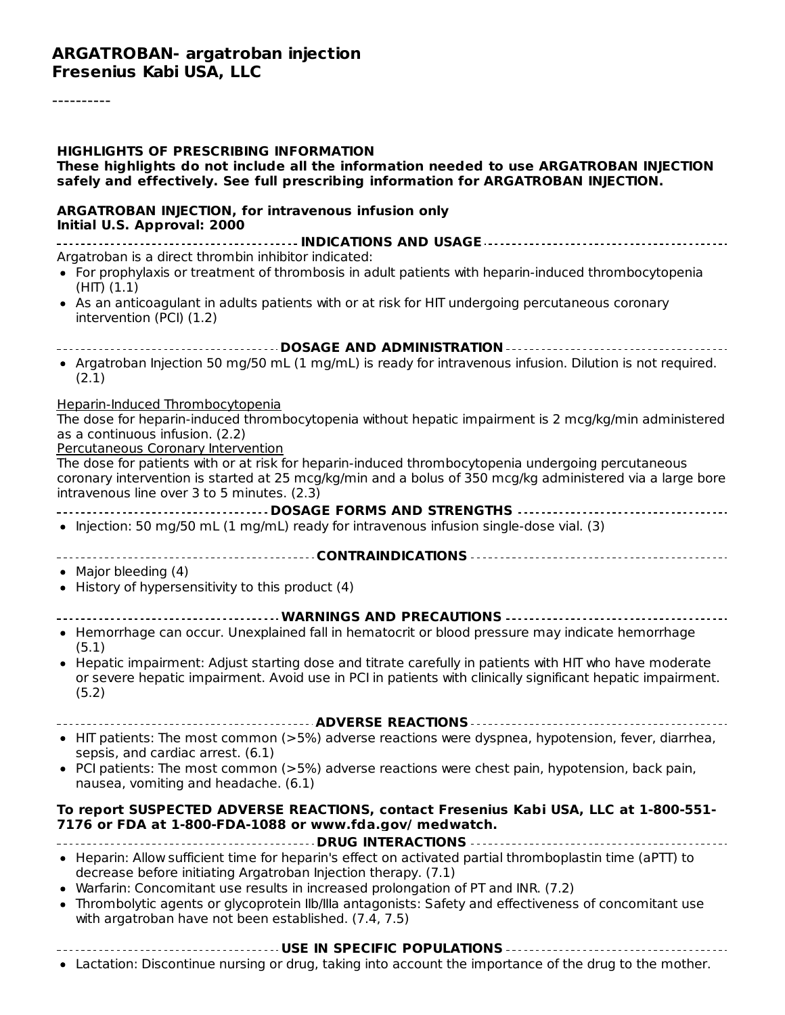#### **ARGATROBAN- argatroban injection Fresenius Kabi USA, LLC**

----------

| <b>HIGHLIGHTS OF PRESCRIBING INFORMATION</b><br>These highlights do not include all the information needed to use ARGATROBAN INJECTION<br>safely and effectively. See full prescribing information for ARGATROBAN INJECTION.                                     |
|------------------------------------------------------------------------------------------------------------------------------------------------------------------------------------------------------------------------------------------------------------------|
| <b>ARGATROBAN INJECTION, for intravenous infusion only</b><br>Initial U.S. Approval: 2000                                                                                                                                                                        |
|                                                                                                                                                                                                                                                                  |
| Argatroban is a direct thrombin inhibitor indicated:<br>• For prophylaxis or treatment of thrombosis in adult patients with heparin-induced thrombocytopenia<br>$(HIT)$ $(1.1)$                                                                                  |
| • As an anticoagulant in adults patients with or at risk for HIT undergoing percutaneous coronary<br>intervention (PCI) (1.2)                                                                                                                                    |
|                                                                                                                                                                                                                                                                  |
| • Argatroban Injection 50 mg/50 mL (1 mg/mL) is ready for intravenous infusion. Dilution is not required.<br>(2.1)                                                                                                                                               |
| <b>Heparin-Induced Thrombocytopenia</b>                                                                                                                                                                                                                          |
| The dose for heparin-induced thrombocytopenia without hepatic impairment is 2 mcg/kg/min administered<br>as a continuous infusion. (2.2)<br>Percutaneous Coronary Intervention                                                                                   |
| The dose for patients with or at risk for heparin-induced thrombocytopenia undergoing percutaneous<br>coronary intervention is started at 25 mcg/kg/min and a bolus of 350 mcg/kg administered via a large bore<br>intravenous line over 3 to 5 minutes. $(2.3)$ |
| ------------------DOSAGE FORMS AND STRENGTHS -----------------------------------                                                                                                                                                                                 |
| • Injection: 50 mg/50 mL (1 mg/mL) ready for intravenous infusion single-dose vial. (3)                                                                                                                                                                          |
|                                                                                                                                                                                                                                                                  |
| • Major bleeding (4)<br>• History of hypersensitivity to this product (4)                                                                                                                                                                                        |
| WARNINGS AND PRECAUTIONS                                                                                                                                                                                                                                         |
| • Hemorrhage can occur. Unexplained fall in hematocrit or blood pressure may indicate hemorrhage<br>(5.1)                                                                                                                                                        |
| • Hepatic impairment: Adjust starting dose and titrate carefully in patients with HIT who have moderate<br>or severe hepatic impairment. Avoid use in PCI in patients with clinically significant hepatic impairment.<br>(5.2)                                   |
|                                                                                                                                                                                                                                                                  |
| • HIT patients: The most common (>5%) adverse reactions were dyspnea, hypotension, fever, diarrhea,<br>sepsis, and cardiac arrest. (6.1)                                                                                                                         |
| • PCI patients: The most common (>5%) adverse reactions were chest pain, hypotension, back pain,<br>nausea, vomiting and headache. (6.1)                                                                                                                         |
| To report SUSPECTED ADVERSE REACTIONS, contact Fresenius Kabi USA, LLC at 1-800-551-<br>7176 or FDA at 1-800-FDA-1088 or www.fda.gov/ medwatch.                                                                                                                  |
| DRUG INTERACTIONS                                                                                                                                                                                                                                                |
| • Heparin: Allow sufficient time for heparin's effect on activated partial thromboplastin time (aPTT) to<br>decrease before initiating Argatroban Injection therapy. (7.1)<br>• Warfarin: Concomitant use results in increased prolongation of PT and INR. (7.2) |
| • Thrombolytic agents or glycoprotein IIb/IIIa antagonists: Safety and effectiveness of concomitant use<br>with argatroban have not been established. (7.4, 7.5)                                                                                                 |
|                                                                                                                                                                                                                                                                  |

Lactation: Discontinue nursing or drug, taking into account the importance of the drug to the mother.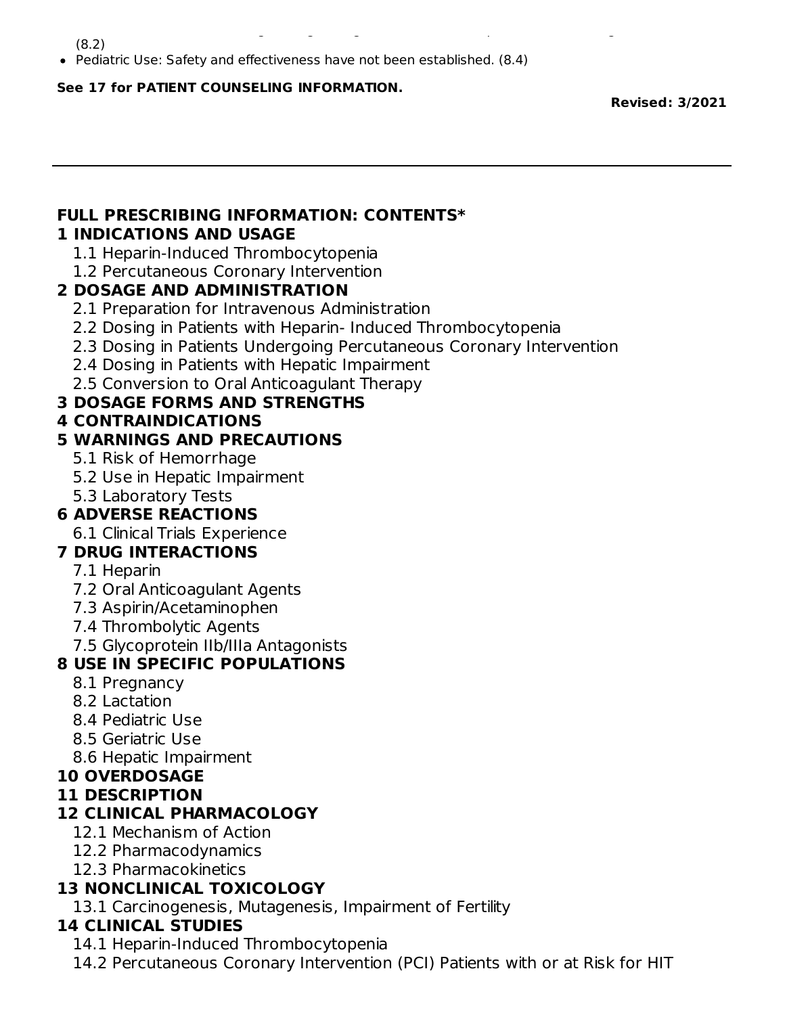(8.2)

Pediatric Use: Safety and effectiveness have not been established. (8.4)

Lactation: Discontinue nursing or drug, taking into account the importance of the drug to the mother.

#### **See 17 for PATIENT COUNSELING INFORMATION.**

**Revised: 3/2021**

#### **FULL PRESCRIBING INFORMATION: CONTENTS\* 1 INDICATIONS AND USAGE**

- 1.1 Heparin-Induced Thrombocytopenia
- 1.2 Percutaneous Coronary Intervention

#### **2 DOSAGE AND ADMINISTRATION**

- 2.1 Preparation for Intravenous Administration
- 2.2 Dosing in Patients with Heparin- Induced Thrombocytopenia
- 2.3 Dosing in Patients Undergoing Percutaneous Coronary Intervention
- 2.4 Dosing in Patients with Hepatic Impairment
- 2.5 Conversion to Oral Anticoagulant Therapy

#### **3 DOSAGE FORMS AND STRENGTHS**

#### **4 CONTRAINDICATIONS**

#### **5 WARNINGS AND PRECAUTIONS**

- 5.1 Risk of Hemorrhage
- 5.2 Use in Hepatic Impairment
- 5.3 Laboratory Tests

## **6 ADVERSE REACTIONS**

6.1 Clinical Trials Experience

## **7 DRUG INTERACTIONS**

- 7.1 Heparin
- 7.2 Oral Anticoagulant Agents
- 7.3 Aspirin/Acetaminophen
- 7.4 Thrombolytic Agents
- 7.5 Glycoprotein IIb/IIIa Antagonists

## **8 USE IN SPECIFIC POPULATIONS**

- 8.1 Pregnancy
- 8.2 Lactation
- 8.4 Pediatric Use
- 8.5 Geriatric Use
- 8.6 Hepatic Impairment

#### **10 OVERDOSAGE**

#### **11 DESCRIPTION**

## **12 CLINICAL PHARMACOLOGY**

- 12.1 Mechanism of Action
- 12.2 Pharmacodynamics
- 12.3 Pharmacokinetics

## **13 NONCLINICAL TOXICOLOGY**

13.1 Carcinogenesis, Mutagenesis, Impairment of Fertility

## **14 CLINICAL STUDIES**

- 14.1 Heparin-Induced Thrombocytopenia
- 14.2 Percutaneous Coronary Intervention (PCI) Patients with or at Risk for HIT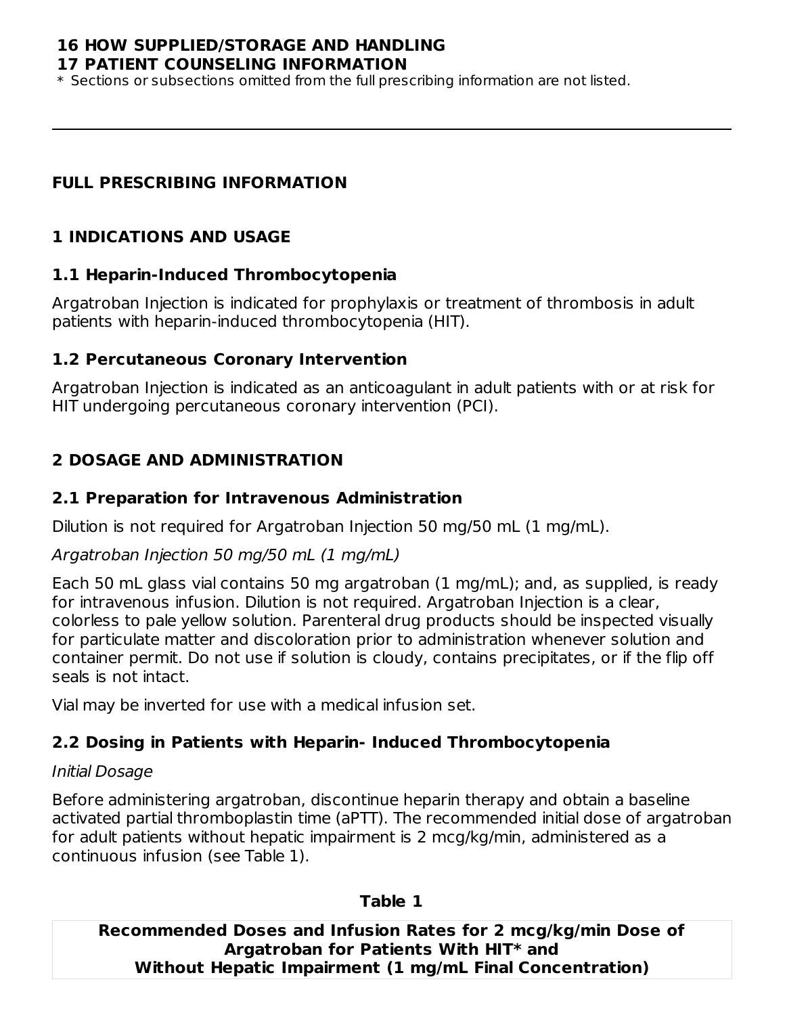#### **16 HOW SUPPLIED/STORAGE AND HANDLING 17 PATIENT COUNSELING INFORMATION**

\* Sections or subsections omitted from the full prescribing information are not listed.

#### **FULL PRESCRIBING INFORMATION**

## **1 INDICATIONS AND USAGE**

#### **1.1 Heparin-Induced Thrombocytopenia**

Argatroban Injection is indicated for prophylaxis or treatment of thrombosis in adult patients with heparin-induced thrombocytopenia (HIT).

#### **1.2 Percutaneous Coronary Intervention**

Argatroban Injection is indicated as an anticoagulant in adult patients with or at risk for HIT undergoing percutaneous coronary intervention (PCI).

# **2 DOSAGE AND ADMINISTRATION**

#### **2.1 Preparation for Intravenous Administration**

Dilution is not required for Argatroban Injection 50 mg/50 mL (1 mg/mL).

#### Argatroban Injection 50 mg/50 mL (1 mg/mL)

Each 50 mL glass vial contains 50 mg argatroban (1 mg/mL); and, as supplied, is ready for intravenous infusion. Dilution is not required. Argatroban Injection is a clear, colorless to pale yellow solution. Parenteral drug products should be inspected visually for particulate matter and discoloration prior to administration whenever solution and container permit. Do not use if solution is cloudy, contains precipitates, or if the flip off seals is not intact.

Vial may be inverted for use with a medical infusion set.

## **2.2 Dosing in Patients with Heparin- Induced Thrombocytopenia**

#### Initial Dosage

Before administering argatroban, discontinue heparin therapy and obtain a baseline activated partial thromboplastin time (aPTT). The recommended initial dose of argatroban for adult patients without hepatic impairment is 2 mcg/kg/min, administered as a continuous infusion (see Table 1).

#### **Table 1**

**Recommended Doses and Infusion Rates for 2 mcg/kg/min Dose of Argatroban for Patients With HIT\* and Without Hepatic Impairment (1 mg/mL Final Concentration)**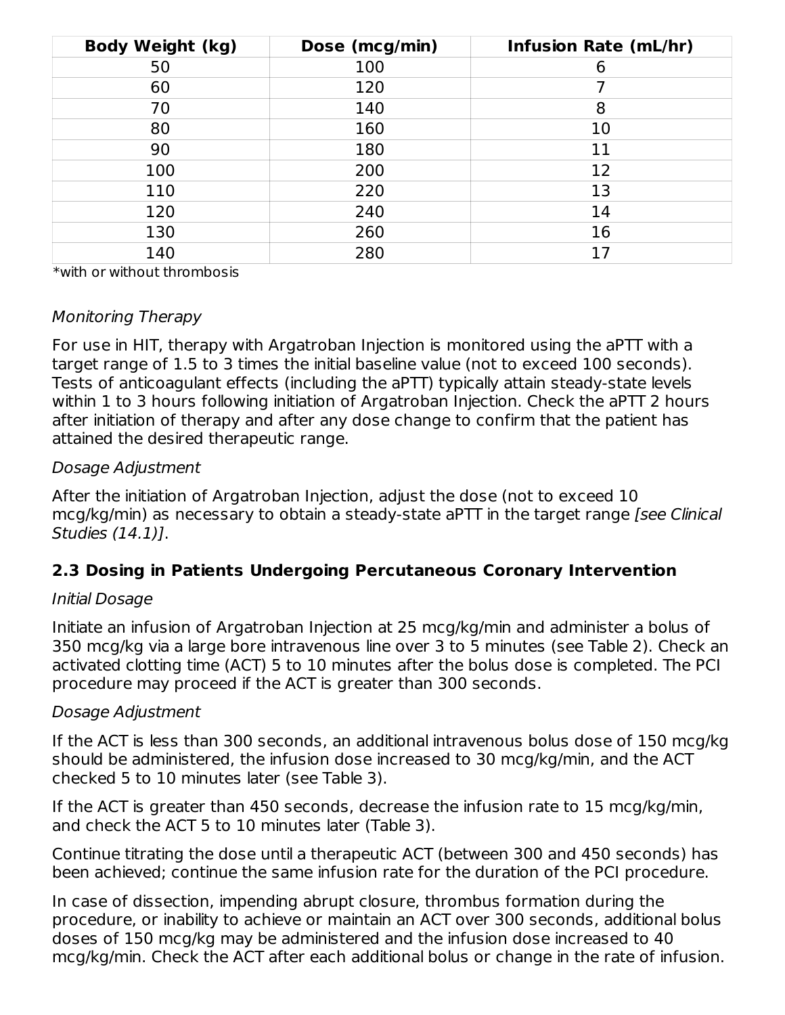| <b>Body Weight (kg)</b> | Dose (mcg/min) | <b>Infusion Rate (mL/hr)</b> |
|-------------------------|----------------|------------------------------|
| 50                      | 100            | 6                            |
| 60                      | 120            |                              |
| 70                      | 140            | 8                            |
| 80                      | 160            | 10                           |
| 90                      | 180            | 11                           |
| 100                     | 200            | 12                           |
| 110                     | 220            | 13                           |
| 120                     | 240            | 14                           |
| 130                     | 260            | 16                           |
| 140                     | 280            | 17                           |

\*with or without thrombosis

#### Monitoring Therapy

For use in HIT, therapy with Argatroban Injection is monitored using the aPTT with a target range of 1.5 to 3 times the initial baseline value (not to exceed 100 seconds). Tests of anticoagulant effects (including the aPTT) typically attain steady-state levels within 1 to 3 hours following initiation of Argatroban Injection. Check the aPTT 2 hours after initiation of therapy and after any dose change to confirm that the patient has attained the desired therapeutic range.

#### Dosage Adjustment

After the initiation of Argatroban Injection, adjust the dose (not to exceed 10 mcg/kg/min) as necessary to obtain a steady-state aPTT in the target range [see Clinical Studies (14.1)].

## **2.3 Dosing in Patients Undergoing Percutaneous Coronary Intervention**

#### Initial Dosage

Initiate an infusion of Argatroban Injection at 25 mcg/kg/min and administer a bolus of 350 mcg/kg via a large bore intravenous line over 3 to 5 minutes (see Table 2). Check an activated clotting time (ACT) 5 to 10 minutes after the bolus dose is completed. The PCI procedure may proceed if the ACT is greater than 300 seconds.

#### Dosage Adjustment

If the ACT is less than 300 seconds, an additional intravenous bolus dose of 150 mcg/kg should be administered, the infusion dose increased to 30 mcg/kg/min, and the ACT checked 5 to 10 minutes later (see Table 3).

If the ACT is greater than 450 seconds, decrease the infusion rate to 15 mcg/kg/min, and check the ACT 5 to 10 minutes later (Table 3).

Continue titrating the dose until a therapeutic ACT (between 300 and 450 seconds) has been achieved; continue the same infusion rate for the duration of the PCI procedure.

In case of dissection, impending abrupt closure, thrombus formation during the procedure, or inability to achieve or maintain an ACT over 300 seconds, additional bolus doses of 150 mcg/kg may be administered and the infusion dose increased to 40 mcg/kg/min. Check the ACT after each additional bolus or change in the rate of infusion.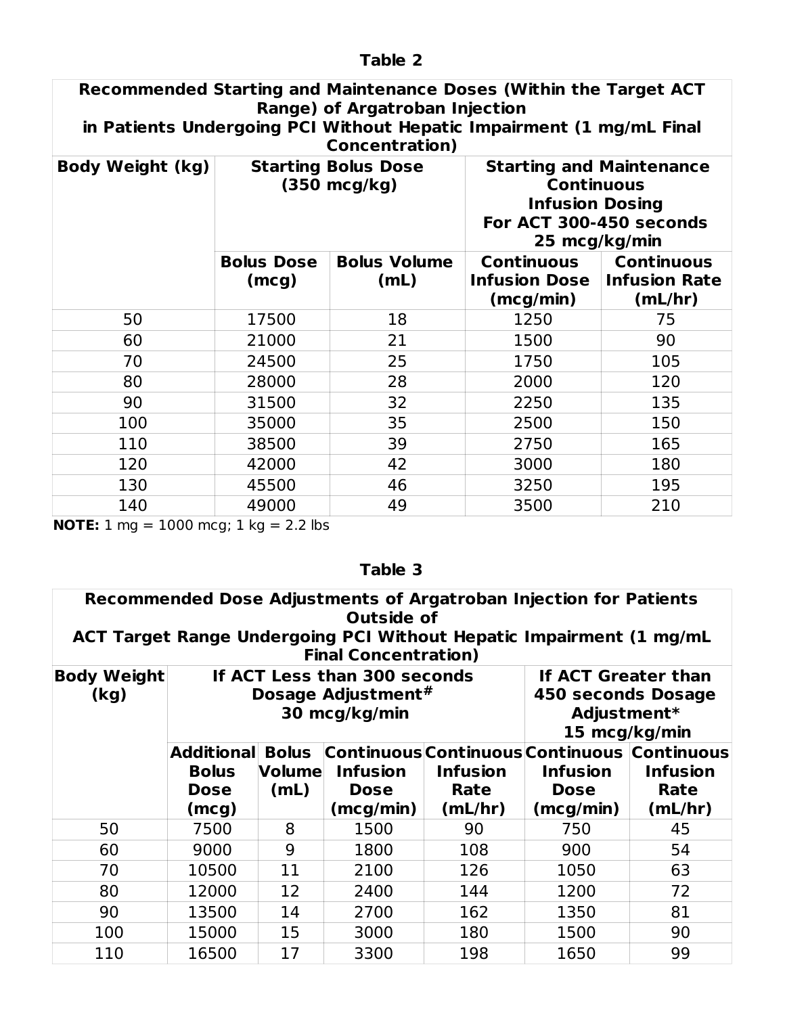| Recommended Starting and Maintenance Doses (Within the Target ACT<br><b>Range) of Argatroban Injection</b><br>in Patients Undergoing PCI Without Hepatic Impairment (1 mg/mL Final<br><b>Concentration</b> ) |                                            |                             |                                                                                                                            |                                                      |  |  |
|--------------------------------------------------------------------------------------------------------------------------------------------------------------------------------------------------------------|--------------------------------------------|-----------------------------|----------------------------------------------------------------------------------------------------------------------------|------------------------------------------------------|--|--|
| <b>Body Weight (kg)</b>                                                                                                                                                                                      | <b>Starting Bolus Dose</b><br>(350 mcg/kg) |                             | <b>Starting and Maintenance</b><br><b>Continuous</b><br><b>Infusion Dosing</b><br>For ACT 300-450 seconds<br>25 mcg/kg/min |                                                      |  |  |
|                                                                                                                                                                                                              | <b>Bolus Dose</b><br>(mcg)                 | <b>Bolus Volume</b><br>(mL) | <b>Continuous</b><br><b>Infusion Dose</b><br>(mcg/min)                                                                     | <b>Continuous</b><br><b>Infusion Rate</b><br>(mL/hr) |  |  |
| 50                                                                                                                                                                                                           | 17500                                      | 18                          | 1250                                                                                                                       | 75                                                   |  |  |
| 60                                                                                                                                                                                                           | 21000                                      | 21                          | 1500                                                                                                                       | 90                                                   |  |  |
| 70                                                                                                                                                                                                           | 24500                                      | 25                          | 1750                                                                                                                       | 105                                                  |  |  |
| 80                                                                                                                                                                                                           | 28000                                      | 28                          | 2000                                                                                                                       | 120                                                  |  |  |
| 90                                                                                                                                                                                                           | 31500                                      | 32                          | 2250                                                                                                                       | 135                                                  |  |  |
| 100                                                                                                                                                                                                          | 35000                                      | 35                          | 2500                                                                                                                       | 150                                                  |  |  |
| 110                                                                                                                                                                                                          | 38500                                      | 39                          | 2750                                                                                                                       | 165                                                  |  |  |
| 120                                                                                                                                                                                                          | 42000                                      | 42                          | 3000                                                                                                                       | 180                                                  |  |  |
| 130                                                                                                                                                                                                          | 45500                                      | 46                          | 3250                                                                                                                       | 195                                                  |  |  |
| 140                                                                                                                                                                                                          | 49000                                      | 49                          | 3500                                                                                                                       | 210                                                  |  |  |

**NOTE:** 1 mg = 1000 mcg; 1 kg = 2.2 lbs

| Table 3 |
|---------|
|---------|

| Recommended Dose Adjustments of Argatroban Injection for Patients<br><b>Outside of</b><br>ACT Target Range Undergoing PCI Without Hepatic Impairment (1 mg/mL<br><b>Final Concentration)</b> |                                                                                                                                                                |                                       |                                             |                                    |                                                                                            |                                    |
|----------------------------------------------------------------------------------------------------------------------------------------------------------------------------------------------|----------------------------------------------------------------------------------------------------------------------------------------------------------------|---------------------------------------|---------------------------------------------|------------------------------------|--------------------------------------------------------------------------------------------|------------------------------------|
| <b>Body Weight</b><br>(kg)                                                                                                                                                                   | If ACT Less than 300 seconds<br><b>If ACT Greater than</b><br>Dosage Adjustment#<br><b>450 seconds Dosage</b><br>30 mcg/kg/min<br>Adjustment*<br>15 mcg/kg/min |                                       |                                             |                                    |                                                                                            |                                    |
|                                                                                                                                                                                              | <b>Additional</b><br><b>Bolus</b><br><b>Dose</b><br>(mcg)                                                                                                      | <b>Bolus</b><br><b>Volume</b><br>(mL) | <b>Infusion</b><br><b>Dose</b><br>(mcg/min) | <b>Infusion</b><br>Rate<br>(mL/hr) | Continuous Continuous Continuous Continuous<br><b>Infusion</b><br><b>Dose</b><br>(mcg/min) | <b>Infusion</b><br>Rate<br>(mL/hr) |
| 50                                                                                                                                                                                           | 7500                                                                                                                                                           | 8                                     | 1500                                        | 90                                 | 750                                                                                        | 45                                 |
| 60                                                                                                                                                                                           | 9000                                                                                                                                                           | 9                                     | 1800                                        | 108                                | 900                                                                                        | 54                                 |
| 70                                                                                                                                                                                           | 10500                                                                                                                                                          | 11                                    | 2100                                        | 126                                | 1050                                                                                       | 63                                 |
| 80                                                                                                                                                                                           | 12000                                                                                                                                                          | 12                                    | 2400                                        | 144                                | 1200                                                                                       | 72                                 |
| 90                                                                                                                                                                                           | 13500                                                                                                                                                          | 14                                    | 2700                                        | 162                                | 1350                                                                                       | 81                                 |
| 100                                                                                                                                                                                          | 15000                                                                                                                                                          | 15                                    | 3000                                        | 180                                | 1500                                                                                       | 90                                 |
| 110                                                                                                                                                                                          | 16500                                                                                                                                                          | 17                                    | 3300                                        | 198                                | 1650                                                                                       | 99                                 |

## **Table 2**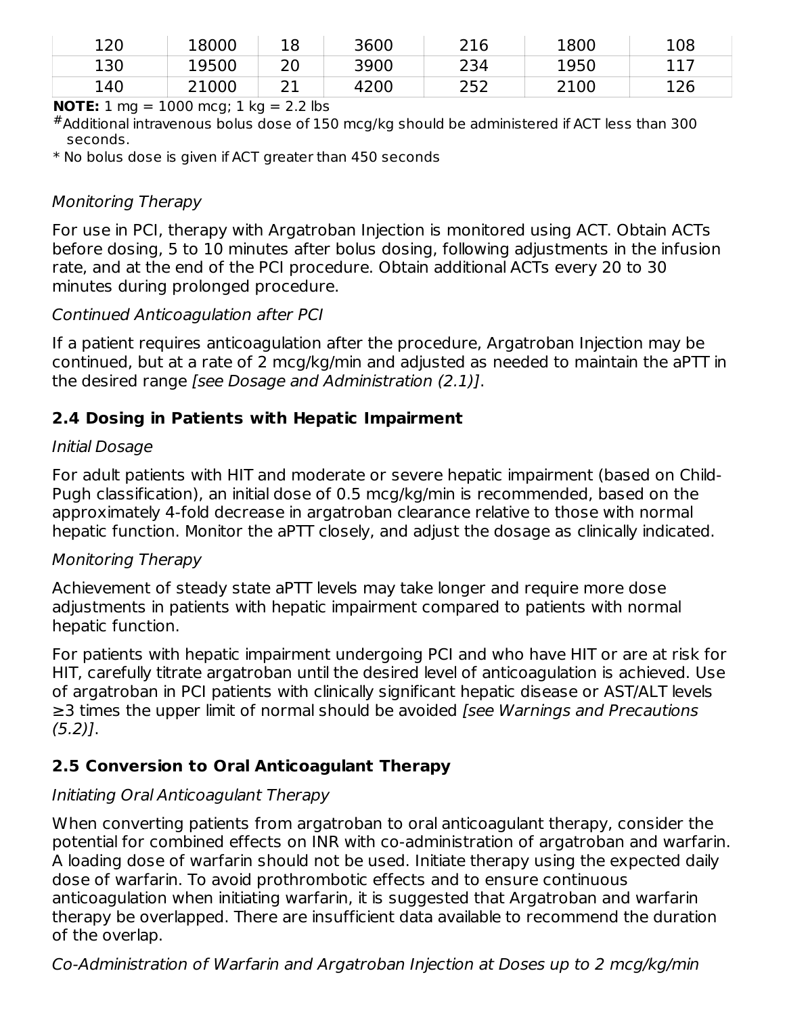| 120 | 18000 | 18                 | 3600 | 216 | 1800 | 108 |
|-----|-------|--------------------|------|-----|------|-----|
| 130 | 19500 | 20                 | 3900 | 234 | 1950 | 117 |
| 140 | 21000 | $\mathbf{A}$<br>ᄼᅩ | 4200 | 252 | 2100 | 126 |

**NOTE:**  $1 \text{ mg} = 1000 \text{ mg}$ ;  $1 \text{ kg} = 2.2 \text{ lbs}$ 

 $^\#$ Additional intravenous bolus dose of 150 mcg/kg should be administered if ACT less than 300 seconds.

\* No bolus dose is given if ACT greater than 450 seconds

#### Monitoring Therapy

For use in PCI, therapy with Argatroban Injection is monitored using ACT. Obtain ACTs before dosing, 5 to 10 minutes after bolus dosing, following adjustments in the infusion rate, and at the end of the PCI procedure. Obtain additional ACTs every 20 to 30 minutes during prolonged procedure.

#### Continued Anticoagulation after PCI

If a patient requires anticoagulation after the procedure, Argatroban Injection may be continued, but at a rate of 2 mcg/kg/min and adjusted as needed to maintain the aPTT in the desired range [see Dosage and Administration (2.1)].

## **2.4 Dosing in Patients with Hepatic Impairment**

#### Initial Dosage

For adult patients with HIT and moderate or severe hepatic impairment (based on Child-Pugh classification), an initial dose of 0.5 mcg/kg/min is recommended, based on the approximately 4-fold decrease in argatroban clearance relative to those with normal hepatic function. Monitor the aPTT closely, and adjust the dosage as clinically indicated.

#### Monitoring Therapy

Achievement of steady state aPTT levels may take longer and require more dose adjustments in patients with hepatic impairment compared to patients with normal hepatic function.

For patients with hepatic impairment undergoing PCI and who have HIT or are at risk for HIT, carefully titrate argatroban until the desired level of anticoagulation is achieved. Use of argatroban in PCI patients with clinically significant hepatic disease or AST/ALT levels ≥3 times the upper limit of normal should be avoided [see Warnings and Precautions (5.2)].

# **2.5 Conversion to Oral Anticoagulant Therapy**

## Initiating Oral Anticoagulant Therapy

When converting patients from argatroban to oral anticoagulant therapy, consider the potential for combined effects on INR with co-administration of argatroban and warfarin. A loading dose of warfarin should not be used. Initiate therapy using the expected daily dose of warfarin. To avoid prothrombotic effects and to ensure continuous anticoagulation when initiating warfarin, it is suggested that Argatroban and warfarin therapy be overlapped. There are insufficient data available to recommend the duration of the overlap.

Co-Administration of Warfarin and Argatroban Injection at Doses up to 2 mcg/kg/min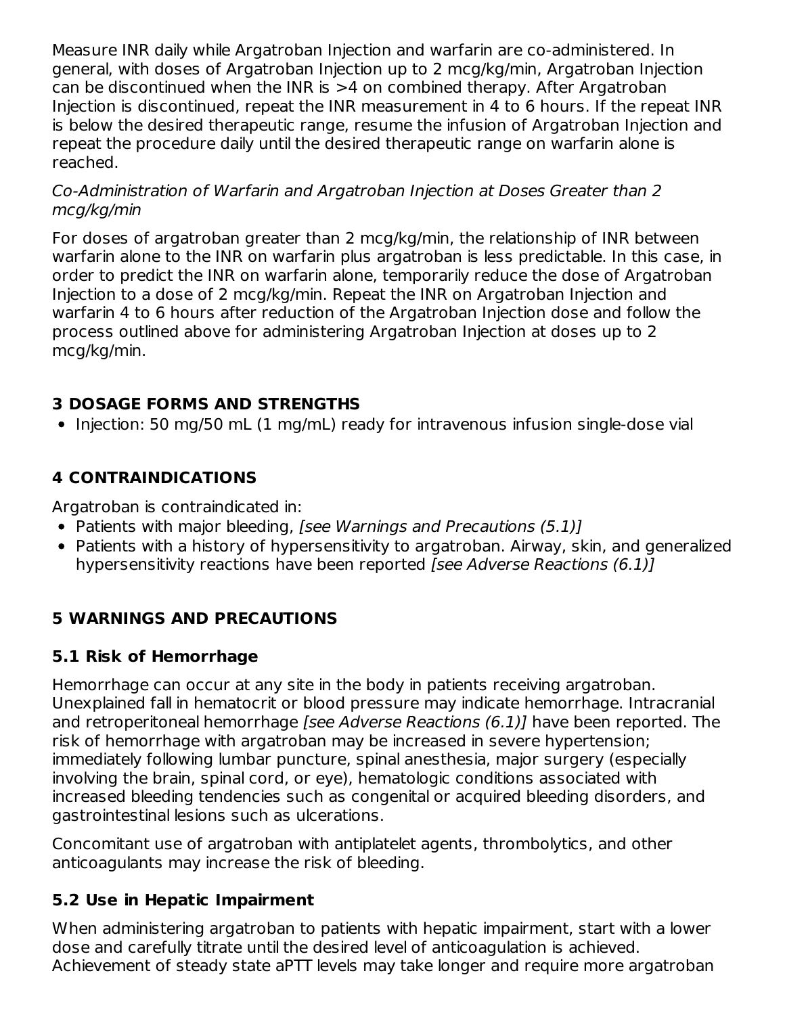Measure INR daily while Argatroban Injection and warfarin are co-administered. In general, with doses of Argatroban Injection up to 2 mcg/kg/min, Argatroban Injection can be discontinued when the INR is >4 on combined therapy. After Argatroban Injection is discontinued, repeat the INR measurement in 4 to 6 hours. If the repeat INR is below the desired therapeutic range, resume the infusion of Argatroban Injection and repeat the procedure daily until the desired therapeutic range on warfarin alone is reached.

#### Co-Administration of Warfarin and Argatroban Injection at Doses Greater than 2 mcg/kg/min

For doses of argatroban greater than 2 mcg/kg/min, the relationship of INR between warfarin alone to the INR on warfarin plus argatroban is less predictable. In this case, in order to predict the INR on warfarin alone, temporarily reduce the dose of Argatroban Injection to a dose of 2 mcg/kg/min. Repeat the INR on Argatroban Injection and warfarin 4 to 6 hours after reduction of the Argatroban Injection dose and follow the process outlined above for administering Argatroban Injection at doses up to 2 mcg/kg/min.

#### **3 DOSAGE FORMS AND STRENGTHS**

• Injection: 50 mg/50 mL (1 mg/mL) ready for intravenous infusion single-dose vial

## **4 CONTRAINDICATIONS**

Argatroban is contraindicated in:

- Patients with major bleeding, [see Warnings and Precautions (5.1)]
- Patients with a history of hypersensitivity to argatroban. Airway, skin, and generalized hypersensitivity reactions have been reported [see Adverse Reactions (6.1)]

## **5 WARNINGS AND PRECAUTIONS**

#### **5.1 Risk of Hemorrhage**

Hemorrhage can occur at any site in the body in patients receiving argatroban. Unexplained fall in hematocrit or blood pressure may indicate hemorrhage. Intracranial and retroperitoneal hemorrhage [see Adverse Reactions (6.1)] have been reported. The risk of hemorrhage with argatroban may be increased in severe hypertension; immediately following lumbar puncture, spinal anesthesia, major surgery (especially involving the brain, spinal cord, or eye), hematologic conditions associated with increased bleeding tendencies such as congenital or acquired bleeding disorders, and gastrointestinal lesions such as ulcerations.

Concomitant use of argatroban with antiplatelet agents, thrombolytics, and other anticoagulants may increase the risk of bleeding.

#### **5.2 Use in Hepatic Impairment**

When administering argatroban to patients with hepatic impairment, start with a lower dose and carefully titrate until the desired level of anticoagulation is achieved. Achievement of steady state aPTT levels may take longer and require more argatroban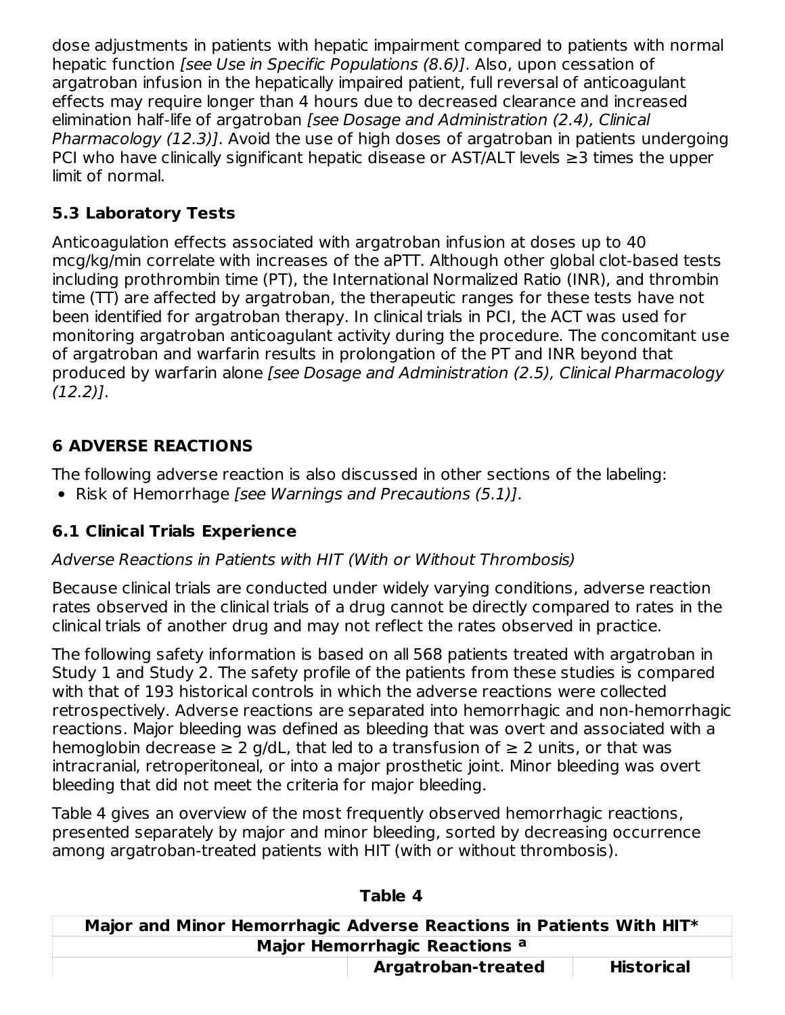dose adjustments in patients with hepatic impairment compared to patients with normal hepatic function *[see Use in Specific Populations (8.6)]*. Also, upon cessation of argatroban infusion in the hepatically impaired patient, full reversal of anticoagulant effects may require longer than 4 hours due to decreased clearance and increased elimination half-life of argatroban [see Dosage and Administration (2.4), Clinical Pharmacology (12.3)]. Avoid the use of high doses of argatroban in patients undergoing PCI who have clinically significant hepatic disease or AST/ALT levels ≥3 times the upper limit of normal.

# **5.3 Laboratory Tests**

Anticoagulation effects associated with argatroban infusion at doses up to 40 mcg/kg/min correlate with increases of the aPTT. Although other global clot-based tests including prothrombin time (PT), the International Normalized Ratio (INR), and thrombin time (TT) are affected by argatroban, the therapeutic ranges for these tests have not been identified for argatroban therapy. In clinical trials in PCI, the ACT was used for monitoring argatroban anticoagulant activity during the procedure. The concomitant use of argatroban and warfarin results in prolongation of the PT and INR beyond that produced by warfarin alone [see Dosage and Administration (2.5), Clinical Pharmacology (12.2)].

# **6 ADVERSE REACTIONS**

The following adverse reaction is also discussed in other sections of the labeling:

• Risk of Hemorrhage [see Warnings and Precautions (5.1)].

# **6.1 Clinical Trials Experience**

# Adverse Reactions in Patients with HIT (With or Without Thrombosis)

Because clinical trials are conducted under widely varying conditions, adverse reaction rates observed in the clinical trials of a drug cannot be directly compared to rates in the clinical trials of another drug and may not reflect the rates observed in practice.

The following safety information is based on all 568 patients treated with argatroban in Study 1 and Study 2. The safety profile of the patients from these studies is compared with that of 193 historical controls in which the adverse reactions were collected retrospectively. Adverse reactions are separated into hemorrhagic and non-hemorrhagic reactions. Major bleeding was defined as bleeding that was overt and associated with a hemoglobin decrease  $\geq 2$  g/dL, that led to a transfusion of  $\geq 2$  units, or that was intracranial, retroperitoneal, or into a major prosthetic joint. Minor bleeding was overt bleeding that did not meet the criteria for major bleeding.

Table 4 gives an overview of the most frequently observed hemorrhagic reactions, presented separately by major and minor bleeding, sorted by decreasing occurrence among argatroban-treated patients with HIT (with or without thrombosis).

| Major and Minor Hemorrhagic Adverse Reactions in Patients With HIT* |                    |                   |
|---------------------------------------------------------------------|--------------------|-------------------|
| Major Hemorrhagic Reactions a                                       |                    |                   |
|                                                                     | Argatroban-treated | <b>Historical</b> |

#### **Table 4**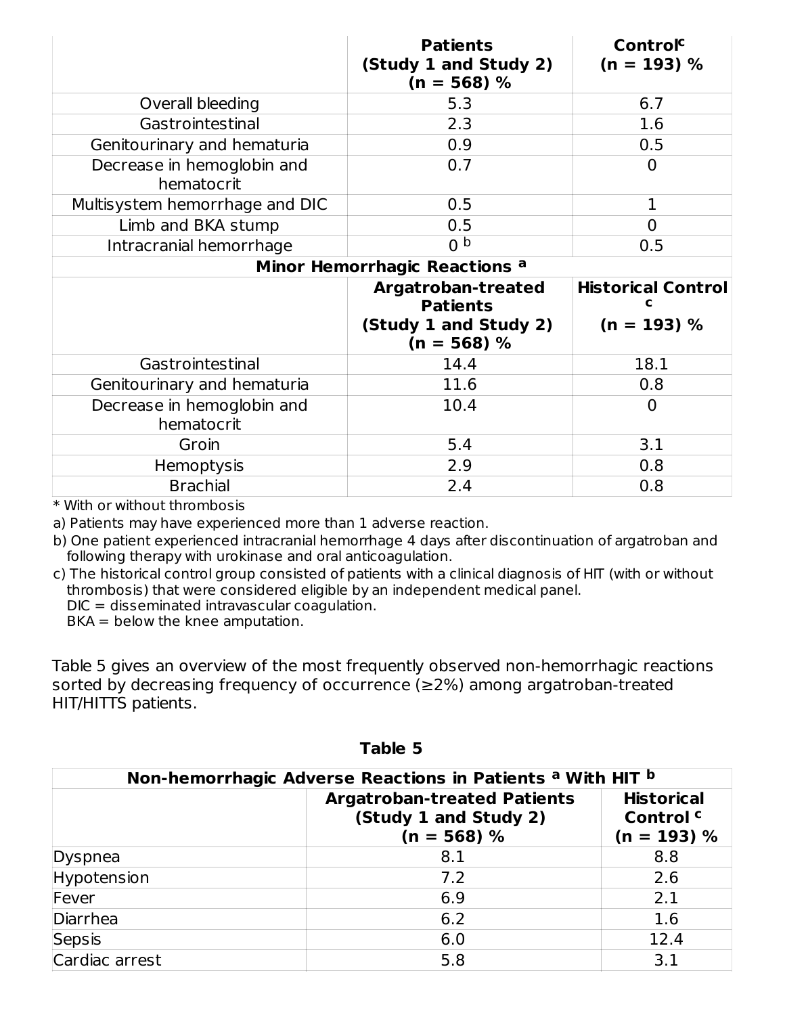|                                          | <b>Patients</b><br>(Study 1 and Study 2)<br>$(n = 568)$ %                              | Control <sup>c</sup><br>$(n = 193) %$      |  |  |
|------------------------------------------|----------------------------------------------------------------------------------------|--------------------------------------------|--|--|
| Overall bleeding                         | 5.3                                                                                    | 6.7                                        |  |  |
| Gastrointestinal                         | 2.3                                                                                    | 1.6                                        |  |  |
| Genitourinary and hematuria              | 0.9                                                                                    | 0.5                                        |  |  |
| Decrease in hemoglobin and<br>hematocrit | 0.7                                                                                    | 0                                          |  |  |
| Multisystem hemorrhage and DIC           | 0.5                                                                                    | 1                                          |  |  |
| Limb and BKA stump                       | 0.5                                                                                    | $\Omega$                                   |  |  |
| Intracranial hemorrhage                  | 0 <sub>p</sub>                                                                         | 0.5                                        |  |  |
| Minor Hemorrhagic Reactions <sup>a</sup> |                                                                                        |                                            |  |  |
|                                          | <b>Argatroban-treated</b><br><b>Patients</b><br>(Study 1 and Study 2)<br>$(n = 568)$ % | <b>Historical Control</b><br>$(n = 193) %$ |  |  |
| Gastrointestinal                         | 14.4                                                                                   | 18.1                                       |  |  |
| Genitourinary and hematuria              | 11.6                                                                                   | 0.8                                        |  |  |
| Decrease in hemoglobin and<br>hematocrit | 10.4                                                                                   | $\overline{0}$                             |  |  |
| Groin                                    | 5.4                                                                                    | 3.1                                        |  |  |
| Hemoptysis                               | 2.9                                                                                    | 0.8                                        |  |  |
| <b>Brachial</b>                          | 2.4                                                                                    | 0.8                                        |  |  |

\* With or without thrombosis

a) Patients may have experienced more than 1 adverse reaction.

b) One patient experienced intracranial hemorrhage 4 days after discontinuation of argatroban and following therapy with urokinase and oral anticoagulation.

c) The historical control group consisted of patients with a clinical diagnosis of HIT (with or without thrombosis) that were considered eligible by an independent medical panel.

 $DIC = disseminated$  intravascular coagulation.

BKA = below the knee amputation.

Table 5 gives an overview of the most frequently observed non-hemorrhagic reactions sorted by decreasing frequency of occurrence  $(≥2%)$  among argatroban-treated HIT/HITTS patients.

| Non-hemorrhagic Adverse Reactions in Patients <sup>a</sup> With HIT b |                                                                              |                                                            |  |  |
|-----------------------------------------------------------------------|------------------------------------------------------------------------------|------------------------------------------------------------|--|--|
|                                                                       | <b>Argatroban-treated Patients</b><br>(Study 1 and Study 2)<br>$(n = 568) %$ | <b>Historical</b><br>Control <sup>c</sup><br>$(n = 193) %$ |  |  |
| Dyspnea                                                               | 8.1                                                                          | 8.8                                                        |  |  |
| Hypotension                                                           | 7.2                                                                          | 2.6                                                        |  |  |
| Fever                                                                 | 6.9                                                                          | 2.1                                                        |  |  |
| Diarrhea                                                              | 6.2                                                                          | 1.6                                                        |  |  |
| Sepsis                                                                | 6.0                                                                          | 12.4                                                       |  |  |
| Cardiac arrest                                                        | 5.8                                                                          | 3.1                                                        |  |  |

**Table 5**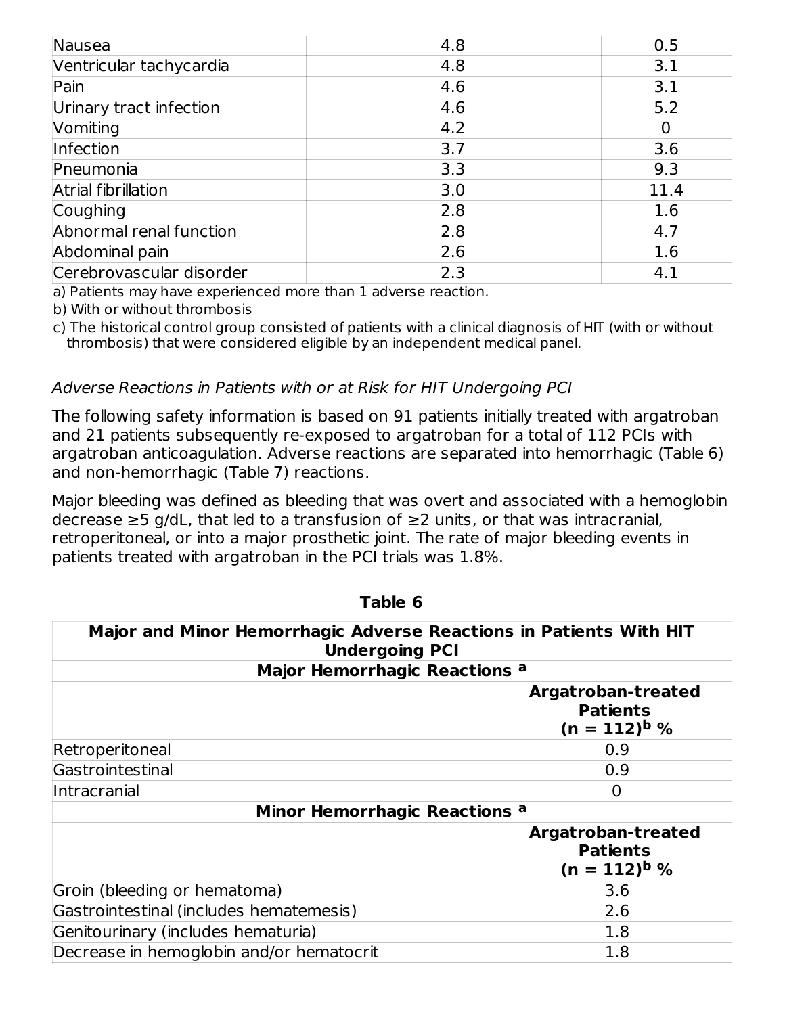| Nausea                   | 4.8 | 0.5  |
|--------------------------|-----|------|
| Ventricular tachycardia  | 4.8 | 3.1  |
| Pain                     | 4.6 | 3.1  |
| Urinary tract infection  | 4.6 | 5.2  |
| Vomiting                 | 4.2 |      |
| Infection                | 3.7 | 3.6  |
| Pneumonia                | 3.3 | 9.3  |
| Atrial fibrillation      | 3.0 | 11.4 |
| Coughing                 | 2.8 | 1.6  |
| Abnormal renal function  | 2.8 | 4.7  |
| Abdominal pain           | 2.6 | 1.6  |
| Cerebrovascular disorder | 2.3 | 4.1  |

a) Patients may have experienced more than 1 adverse reaction.

b) With or without thrombosis

c) The historical control group consisted of patients with a clinical diagnosis of HIT (with or without thrombosis) that were considered eligible by an independent medical panel.

#### Adverse Reactions in Patients with or at Risk for HIT Undergoing PCI

The following safety information is based on 91 patients initially treated with argatroban and 21 patients subsequently re-exposed to argatroban for a total of 112 PCIs with argatroban anticoagulation. Adverse reactions are separated into hemorrhagic (Table 6) and non-hemorrhagic (Table 7) reactions.

Major bleeding was defined as bleeding that was overt and associated with a hemoglobin decrease ≥5 g/dL, that led to a transfusion of ≥2 units, or that was intracranial, retroperitoneal, or into a major prosthetic joint. The rate of major bleeding events in patients treated with argatroban in the PCI trials was 1.8%.

| Major and Minor Hemorrhagic Adverse Reactions in Patients With HIT<br><b>Undergoing PCI</b> |                                                            |  |  |  |
|---------------------------------------------------------------------------------------------|------------------------------------------------------------|--|--|--|
| Major Hemorrhagic Reactions a                                                               |                                                            |  |  |  |
|                                                                                             | Argatroban-treated<br><b>Patients</b><br>$(n = 112)^{b}$ % |  |  |  |
| Retroperitoneal                                                                             | 0.9                                                        |  |  |  |
| Gastrointestinal                                                                            | 0.9                                                        |  |  |  |
| Intracranial                                                                                | 0                                                          |  |  |  |
| Minor Hemorrhagic Reactions <sup>a</sup>                                                    |                                                            |  |  |  |
|                                                                                             | Argatroban-treated<br><b>Patients</b><br>$(n = 112)^{b}$ % |  |  |  |
| Groin (bleeding or hematoma)                                                                | 3.6                                                        |  |  |  |
| Gastrointestinal (includes hematemesis)                                                     | 2.6                                                        |  |  |  |
| Genitourinary (includes hematuria)                                                          | 1.8                                                        |  |  |  |
| Decrease in hemoglobin and/or hematocrit                                                    | 1.8                                                        |  |  |  |

**Table 6**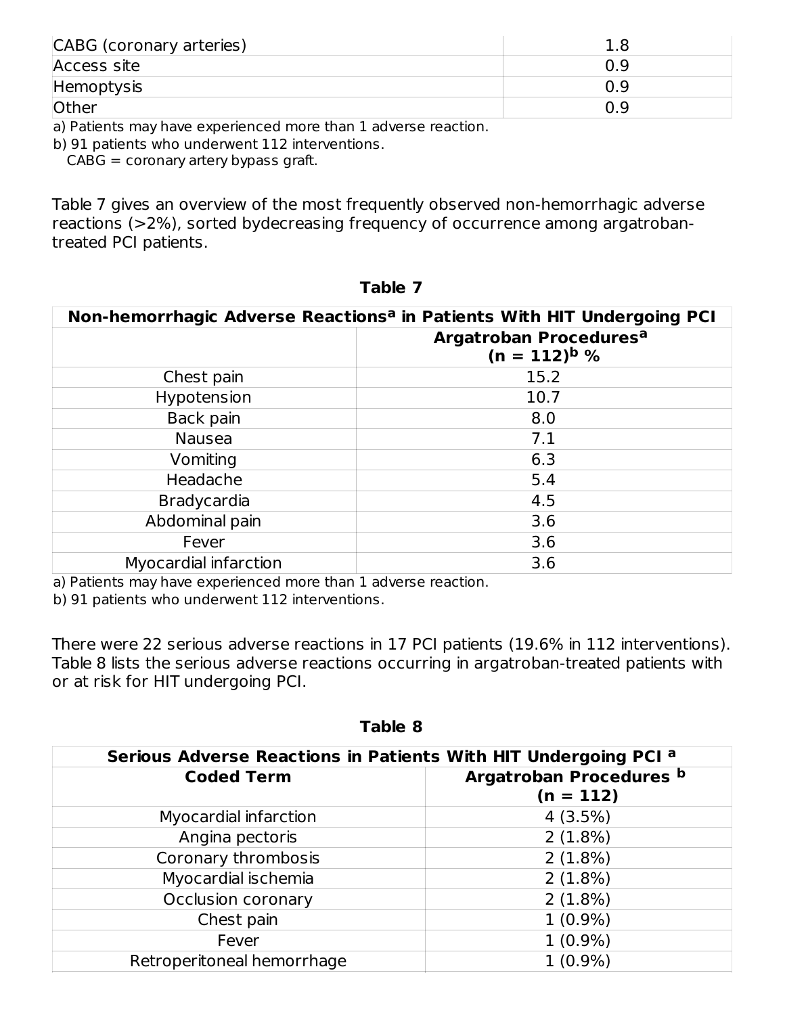| CABG (coronary arteries) |     |
|--------------------------|-----|
| Access site              | 0.9 |
| Hemoptysis               | 0.9 |
| <b>Other</b>             | 0.9 |

a) Patients may have experienced more than 1 adverse reaction.

b) 91 patients who underwent 112 interventions.

 $CABG =$  coronary artery bypass graft.

Table 7 gives an overview of the most frequently observed non-hemorrhagic adverse reactions (>2%), sorted bydecreasing frequency of occurrence among argatrobantreated PCI patients.

| Non-hemorrhagic Adverse Reactions <sup>a</sup> in Patients With HIT Undergoing PCI |                                                         |  |
|------------------------------------------------------------------------------------|---------------------------------------------------------|--|
|                                                                                    | Argatroban Procedures <sup>a</sup><br>$(n = 112)^{b}$ % |  |
| Chest pain                                                                         | 15.2                                                    |  |
| Hypotension                                                                        | 10.7                                                    |  |
| Back pain                                                                          | 8.0                                                     |  |
| <b>Nausea</b>                                                                      | 7.1                                                     |  |
| Vomiting                                                                           | 6.3                                                     |  |
| Headache                                                                           | 5.4                                                     |  |
| <b>Bradycardia</b>                                                                 | 4.5                                                     |  |
| Abdominal pain                                                                     | 3.6                                                     |  |
| Fever                                                                              | 3.6                                                     |  |
| Myocardial infarction                                                              | 3.6                                                     |  |

**Table 7**

a) Patients may have experienced more than 1 adverse reaction.

b) 91 patients who underwent 112 interventions.

There were 22 serious adverse reactions in 17 PCI patients (19.6% in 112 interventions). Table 8 lists the serious adverse reactions occurring in argatroban-treated patients with or at risk for HIT undergoing PCI.

| Serious Adverse Reactions in Patients With HIT Undergoing PCI a |                                        |  |  |
|-----------------------------------------------------------------|----------------------------------------|--|--|
| <b>Coded Term</b>                                               | Argatroban Procedures b<br>$(n = 112)$ |  |  |
| Myocardial infarction                                           | 4(3.5%)                                |  |  |
| Angina pectoris                                                 | $2(1.8\%)$                             |  |  |
| Coronary thrombosis                                             | 2(1.8%)                                |  |  |
| Myocardial ischemia                                             | 2(1.8%)                                |  |  |
| Occlusion coronary                                              | 2(1.8%)                                |  |  |
| Chest pain                                                      | $1(0.9\%)$                             |  |  |
| Fever                                                           | $1(0.9\%)$                             |  |  |
| Retroperitoneal hemorrhage                                      | $1(0.9\%)$                             |  |  |

**Table 8**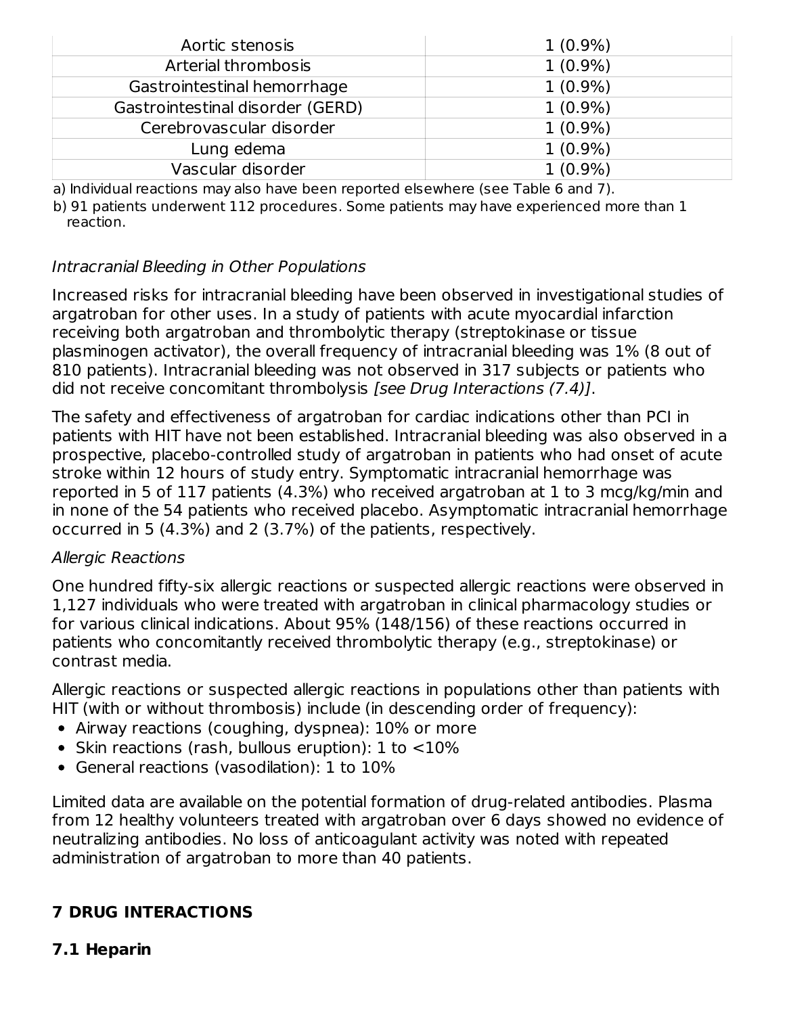| Aortic stenosis                  | $1(0.9\%)$ |
|----------------------------------|------------|
| Arterial thrombosis              | $1(0.9\%)$ |
| Gastrointestinal hemorrhage      | $1(0.9\%)$ |
| Gastrointestinal disorder (GERD) | $1(0.9\%)$ |
| Cerebrovascular disorder         | $1(0.9\%)$ |
| Lung edema                       | $1(0.9\%)$ |
| Vascular disorder                | $1(0.9\%)$ |

a) Individual reactions may also have been reported elsewhere (see Table 6 and 7).

b) 91 patients underwent 112 procedures. Some patients may have experienced more than 1 reaction.

#### Intracranial Bleeding in Other Populations

Increased risks for intracranial bleeding have been observed in investigational studies of argatroban for other uses. In a study of patients with acute myocardial infarction receiving both argatroban and thrombolytic therapy (streptokinase or tissue plasminogen activator), the overall frequency of intracranial bleeding was 1% (8 out of 810 patients). Intracranial bleeding was not observed in 317 subjects or patients who did not receive concomitant thrombolysis [see Drug Interactions (7.4)].

The safety and effectiveness of argatroban for cardiac indications other than PCI in patients with HIT have not been established. Intracranial bleeding was also observed in a prospective, placebo-controlled study of argatroban in patients who had onset of acute stroke within 12 hours of study entry. Symptomatic intracranial hemorrhage was reported in 5 of 117 patients (4.3%) who received argatroban at 1 to 3 mcg/kg/min and in none of the 54 patients who received placebo. Asymptomatic intracranial hemorrhage occurred in 5 (4.3%) and 2 (3.7%) of the patients, respectively.

#### Allergic Reactions

One hundred fifty-six allergic reactions or suspected allergic reactions were observed in 1,127 individuals who were treated with argatroban in clinical pharmacology studies or for various clinical indications. About 95% (148/156) of these reactions occurred in patients who concomitantly received thrombolytic therapy (e.g., streptokinase) or contrast media.

Allergic reactions or suspected allergic reactions in populations other than patients with HIT (with or without thrombosis) include (in descending order of frequency):

- Airway reactions (coughing, dyspnea): 10% or more
- Skin reactions (rash, bullous eruption):  $1$  to  $\lt 10\%$
- General reactions (vasodilation): 1 to 10%

Limited data are available on the potential formation of drug-related antibodies. Plasma from 12 healthy volunteers treated with argatroban over 6 days showed no evidence of neutralizing antibodies. No loss of anticoagulant activity was noted with repeated administration of argatroban to more than 40 patients.

## **7 DRUG INTERACTIONS**

#### **7.1 Heparin**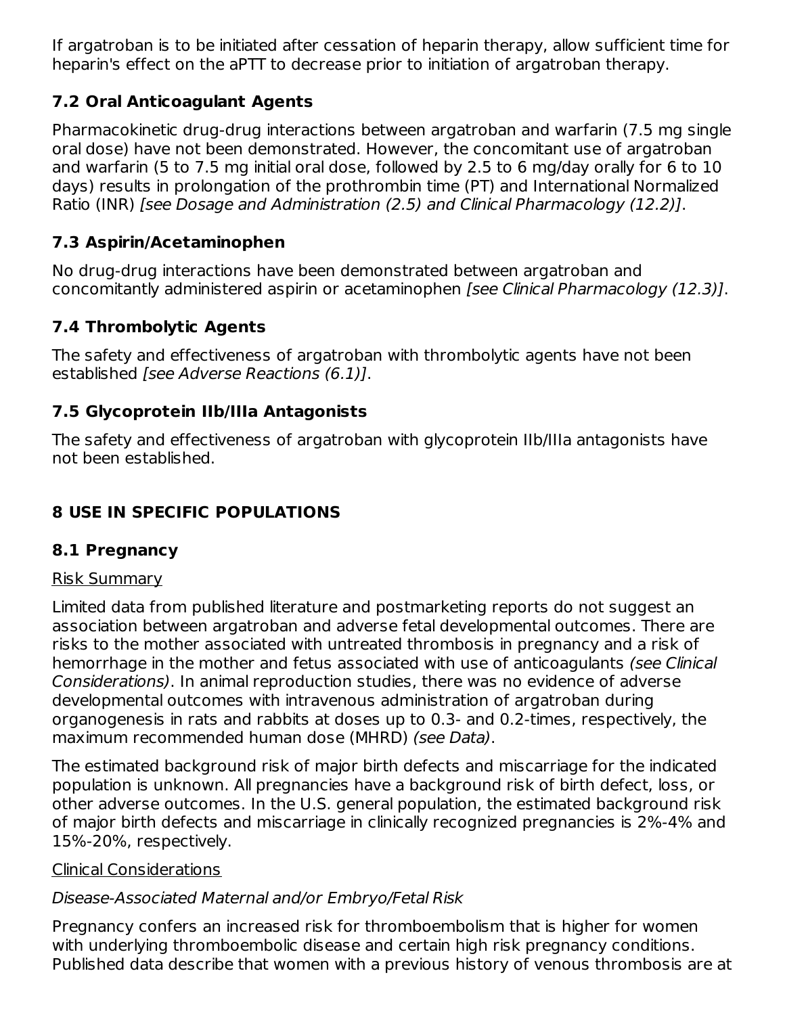If argatroban is to be initiated after cessation of heparin therapy, allow sufficient time for heparin's effect on the aPTT to decrease prior to initiation of argatroban therapy.

## **7.2 Oral Anticoagulant Agents**

Pharmacokinetic drug-drug interactions between argatroban and warfarin (7.5 mg single oral dose) have not been demonstrated. However, the concomitant use of argatroban and warfarin (5 to 7.5 mg initial oral dose, followed by 2.5 to 6 mg/day orally for 6 to 10 days) results in prolongation of the prothrombin time (PT) and International Normalized Ratio (INR) [see Dosage and Administration (2.5) and Clinical Pharmacology (12.2)].

# **7.3 Aspirin/Acetaminophen**

No drug-drug interactions have been demonstrated between argatroban and concomitantly administered aspirin or acetaminophen [see Clinical Pharmacology (12.3)].

# **7.4 Thrombolytic Agents**

The safety and effectiveness of argatroban with thrombolytic agents have not been established [see Adverse Reactions (6.1)].

## **7.5 Glycoprotein IIb/IIIa Antagonists**

The safety and effectiveness of argatroban with glycoprotein IIb/IIIa antagonists have not been established.

# **8 USE IN SPECIFIC POPULATIONS**

## **8.1 Pregnancy**

## Risk Summary

Limited data from published literature and postmarketing reports do not suggest an association between argatroban and adverse fetal developmental outcomes. There are risks to the mother associated with untreated thrombosis in pregnancy and a risk of hemorrhage in the mother and fetus associated with use of anticoagulants (see Clinical Considerations). In animal reproduction studies, there was no evidence of adverse developmental outcomes with intravenous administration of argatroban during organogenesis in rats and rabbits at doses up to 0.3- and 0.2-times, respectively, the maximum recommended human dose (MHRD) (see Data).

The estimated background risk of major birth defects and miscarriage for the indicated population is unknown. All pregnancies have a background risk of birth defect, loss, or other adverse outcomes. In the U.S. general population, the estimated background risk of major birth defects and miscarriage in clinically recognized pregnancies is 2%-4% and 15%-20%, respectively.

## Clinical Considerations

## Disease-Associated Maternal and/or Embryo/Fetal Risk

Pregnancy confers an increased risk for thromboembolism that is higher for women with underlying thromboembolic disease and certain high risk pregnancy conditions. Published data describe that women with a previous history of venous thrombosis are at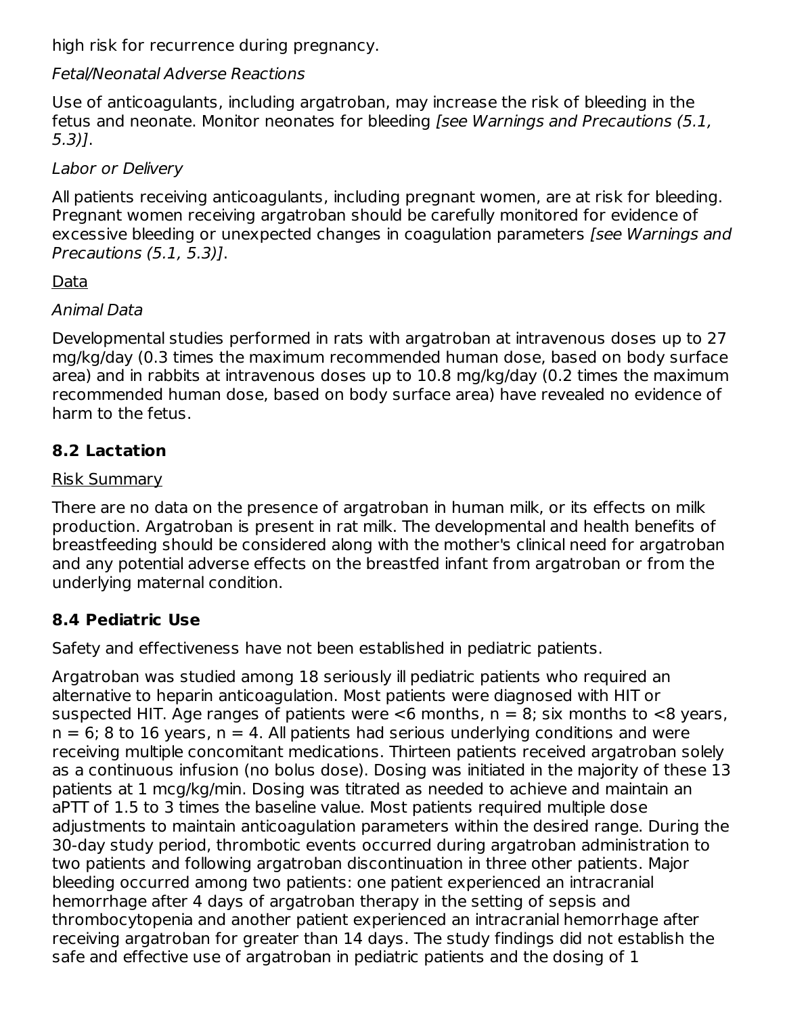high risk for recurrence during pregnancy.

## Fetal/Neonatal Adverse Reactions

Use of anticoagulants, including argatroban, may increase the risk of bleeding in the fetus and neonate. Monitor neonates for bleeding [see Warnings and Precautions (5.1, 5.3)].

Labor or Delivery

All patients receiving anticoagulants, including pregnant women, are at risk for bleeding. Pregnant women receiving argatroban should be carefully monitored for evidence of excessive bleeding or unexpected changes in coagulation parameters [see Warnings and Precautions (5.1, 5.3)].

# **Data**

## Animal Data

Developmental studies performed in rats with argatroban at intravenous doses up to 27 mg/kg/day (0.3 times the maximum recommended human dose, based on body surface area) and in rabbits at intravenous doses up to 10.8 mg/kg/day (0.2 times the maximum recommended human dose, based on body surface area) have revealed no evidence of harm to the fetus.

# **8.2 Lactation**

## Risk Summary

There are no data on the presence of argatroban in human milk, or its effects on milk production. Argatroban is present in rat milk. The developmental and health benefits of breastfeeding should be considered along with the mother's clinical need for argatroban and any potential adverse effects on the breastfed infant from argatroban or from the underlying maternal condition.

# **8.4 Pediatric Use**

Safety and effectiveness have not been established in pediatric patients.

Argatroban was studied among 18 seriously ill pediatric patients who required an alternative to heparin anticoagulation. Most patients were diagnosed with HIT or suspected HIT. Age ranges of patients were  $<$ 6 months, n = 8; six months to  $<$ 8 years,  $n = 6$ ; 8 to 16 years,  $n = 4$ . All patients had serious underlying conditions and were receiving multiple concomitant medications. Thirteen patients received argatroban solely as a continuous infusion (no bolus dose). Dosing was initiated in the majority of these 13 patients at 1 mcg/kg/min. Dosing was titrated as needed to achieve and maintain an aPTT of 1.5 to 3 times the baseline value. Most patients required multiple dose adjustments to maintain anticoagulation parameters within the desired range. During the 30-day study period, thrombotic events occurred during argatroban administration to two patients and following argatroban discontinuation in three other patients. Major bleeding occurred among two patients: one patient experienced an intracranial hemorrhage after 4 days of argatroban therapy in the setting of sepsis and thrombocytopenia and another patient experienced an intracranial hemorrhage after receiving argatroban for greater than 14 days. The study findings did not establish the safe and effective use of argatroban in pediatric patients and the dosing of 1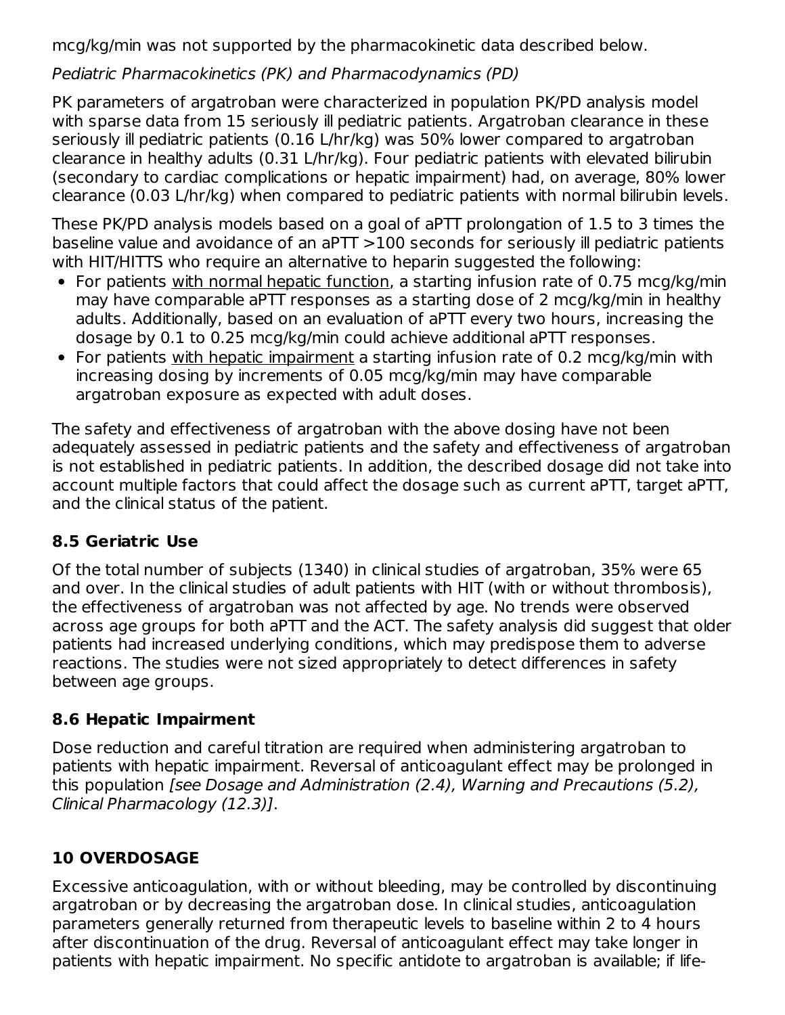mcg/kg/min was not supported by the pharmacokinetic data described below.

Pediatric Pharmacokinetics (PK) and Pharmacodynamics (PD)

PK parameters of argatroban were characterized in population PK/PD analysis model with sparse data from 15 seriously ill pediatric patients. Argatroban clearance in these seriously ill pediatric patients (0.16 L/hr/kg) was 50% lower compared to argatroban clearance in healthy adults (0.31 L/hr/kg). Four pediatric patients with elevated bilirubin (secondary to cardiac complications or hepatic impairment) had, on average, 80% lower clearance (0.03 L/hr/kg) when compared to pediatric patients with normal bilirubin levels.

These PK/PD analysis models based on a goal of aPTT prolongation of 1.5 to 3 times the baseline value and avoidance of an aPTT >100 seconds for seriously ill pediatric patients with HIT/HITTS who require an alternative to heparin suggested the following:

- For patients with normal hepatic function, a starting infusion rate of 0.75 mcg/kg/min may have comparable aPTT responses as a starting dose of 2 mcg/kg/min in healthy adults. Additionally, based on an evaluation of aPTT every two hours, increasing the dosage by 0.1 to 0.25 mcg/kg/min could achieve additional aPTT responses.
- For patients with hepatic impairment a starting infusion rate of 0.2 mcg/kg/min with increasing dosing by increments of 0.05 mcg/kg/min may have comparable argatroban exposure as expected with adult doses.

The safety and effectiveness of argatroban with the above dosing have not been adequately assessed in pediatric patients and the safety and effectiveness of argatroban is not established in pediatric patients. In addition, the described dosage did not take into account multiple factors that could affect the dosage such as current aPTT, target aPTT, and the clinical status of the patient.

# **8.5 Geriatric Use**

Of the total number of subjects (1340) in clinical studies of argatroban, 35% were 65 and over. In the clinical studies of adult patients with HIT (with or without thrombosis), the effectiveness of argatroban was not affected by age. No trends were observed across age groups for both aPTT and the ACT. The safety analysis did suggest that older patients had increased underlying conditions, which may predispose them to adverse reactions. The studies were not sized appropriately to detect differences in safety between age groups.

# **8.6 Hepatic Impairment**

Dose reduction and careful titration are required when administering argatroban to patients with hepatic impairment. Reversal of anticoagulant effect may be prolonged in this population [see Dosage and Administration (2.4), Warning and Precautions (5.2), Clinical Pharmacology (12.3)].

# **10 OVERDOSAGE**

Excessive anticoagulation, with or without bleeding, may be controlled by discontinuing argatroban or by decreasing the argatroban dose. In clinical studies, anticoagulation parameters generally returned from therapeutic levels to baseline within 2 to 4 hours after discontinuation of the drug. Reversal of anticoagulant effect may take longer in patients with hepatic impairment. No specific antidote to argatroban is available; if life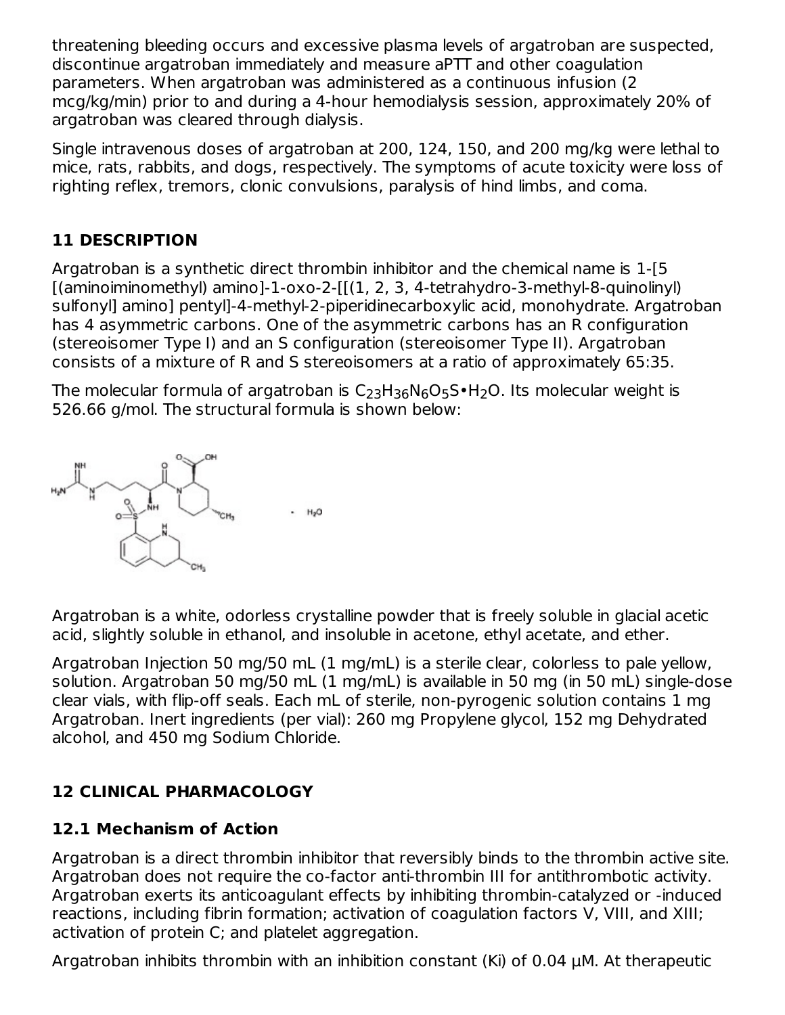threatening bleeding occurs and excessive plasma levels of argatroban are suspected, discontinue argatroban immediately and measure aPTT and other coagulation parameters. When argatroban was administered as a continuous infusion (2 mcg/kg/min) prior to and during a 4-hour hemodialysis session, approximately 20% of argatroban was cleared through dialysis.

Single intravenous doses of argatroban at 200, 124, 150, and 200 mg/kg were lethal to mice, rats, rabbits, and dogs, respectively. The symptoms of acute toxicity were loss of righting reflex, tremors, clonic convulsions, paralysis of hind limbs, and coma.

# **11 DESCRIPTION**

Argatroban is a synthetic direct thrombin inhibitor and the chemical name is 1-[5 [(aminoiminomethyl) amino]-1-oxo-2-[[(1, 2, 3, 4-tetrahydro-3-methyl-8-quinolinyl) sulfonyl] amino] pentyl]-4-methyl-2-piperidinecarboxylic acid, monohydrate. Argatroban has 4 asymmetric carbons. One of the asymmetric carbons has an R configuration (stereoisomer Type I) and an S configuration (stereoisomer Type II). Argatroban consists of a mixture of R and S stereoisomers at a ratio of approximately 65:35.

The molecular formula of argatroban is  $\mathsf{C}_2$ 3H3 $_6\mathsf{N}_6\mathsf{O}_5\mathsf{S}\bullet\mathsf{H}_2\mathsf{O}.$  Its molecular weight is 526.66 g/mol. The structural formula is shown below:



Argatroban is a white, odorless crystalline powder that is freely soluble in glacial acetic acid, slightly soluble in ethanol, and insoluble in acetone, ethyl acetate, and ether.

Argatroban Injection 50 mg/50 mL (1 mg/mL) is a sterile clear, colorless to pale yellow, solution. Argatroban 50 mg/50 mL (1 mg/mL) is available in 50 mg (in 50 mL) single-dose clear vials, with flip-off seals. Each mL of sterile, non-pyrogenic solution contains 1 mg Argatroban. Inert ingredients (per vial): 260 mg Propylene glycol, 152 mg Dehydrated alcohol, and 450 mg Sodium Chloride.

## **12 CLINICAL PHARMACOLOGY**

## **12.1 Mechanism of Action**

Argatroban is a direct thrombin inhibitor that reversibly binds to the thrombin active site. Argatroban does not require the co-factor anti-thrombin III for antithrombotic activity. Argatroban exerts its anticoagulant effects by inhibiting thrombin-catalyzed or -induced reactions, including fibrin formation; activation of coagulation factors V, VIII, and XIII; activation of protein C; and platelet aggregation.

Argatroban inhibits thrombin with an inhibition constant (Ki) of 0.04 μM. At therapeutic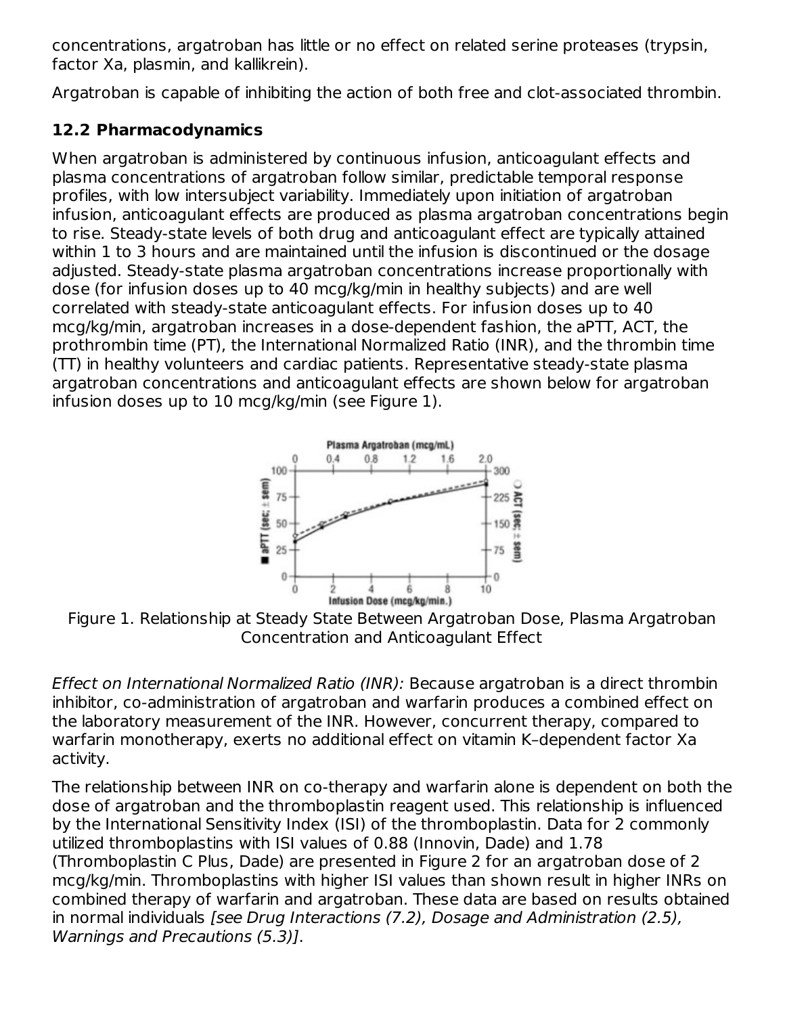concentrations, argatroban has little or no effect on related serine proteases (trypsin, factor Xa, plasmin, and kallikrein).

Argatroban is capable of inhibiting the action of both free and clot-associated thrombin.

# **12.2 Pharmacodynamics**

When argatroban is administered by continuous infusion, anticoagulant effects and plasma concentrations of argatroban follow similar, predictable temporal response profiles, with low intersubject variability. Immediately upon initiation of argatroban infusion, anticoagulant effects are produced as plasma argatroban concentrations begin to rise. Steady-state levels of both drug and anticoagulant effect are typically attained within 1 to 3 hours and are maintained until the infusion is discontinued or the dosage adjusted. Steady-state plasma argatroban concentrations increase proportionally with dose (for infusion doses up to 40 mcg/kg/min in healthy subjects) and are well correlated with steady-state anticoagulant effects. For infusion doses up to 40 mcg/kg/min, argatroban increases in a dose-dependent fashion, the aPTT, ACT, the prothrombin time (PT), the International Normalized Ratio (INR), and the thrombin time (TT) in healthy volunteers and cardiac patients. Representative steady-state plasma argatroban concentrations and anticoagulant effects are shown below for argatroban infusion doses up to 10 mcg/kg/min (see Figure 1).



Figure 1. Relationship at Steady State Between Argatroban Dose, Plasma Argatroban Concentration and Anticoagulant Effect

Effect on International Normalized Ratio (INR): Because argatroban is a direct thrombin inhibitor, co-administration of argatroban and warfarin produces a combined effect on the laboratory measurement of the INR. However, concurrent therapy, compared to warfarin monotherapy, exerts no additional effect on vitamin K–dependent factor Xa activity.

The relationship between INR on co-therapy and warfarin alone is dependent on both the dose of argatroban and the thromboplastin reagent used. This relationship is influenced by the International Sensitivity Index (ISI) of the thromboplastin. Data for 2 commonly utilized thromboplastins with ISI values of 0.88 (Innovin, Dade) and 1.78 (Thromboplastin C Plus, Dade) are presented in Figure 2 for an argatroban dose of 2 mcg/kg/min. Thromboplastins with higher ISI values than shown result in higher INRs on combined therapy of warfarin and argatroban. These data are based on results obtained in normal individuals [see Drug Interactions (7.2), Dosage and Administration (2.5), Warnings and Precautions (5.3)].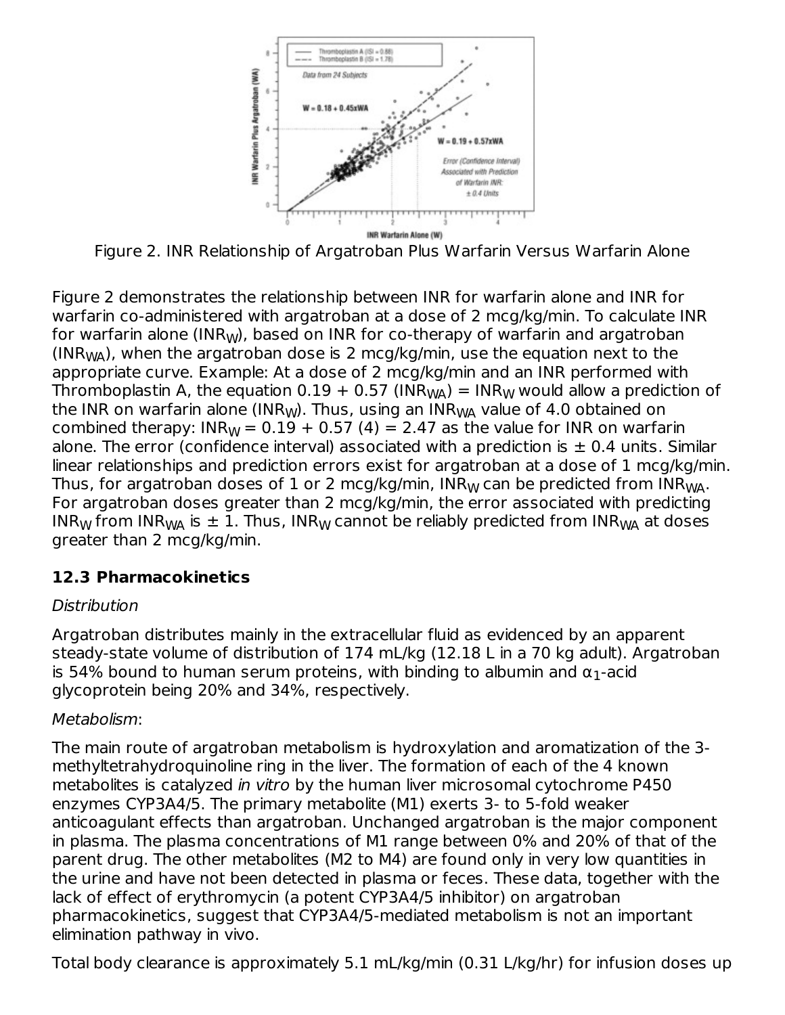

Figure 2. INR Relationship of Argatroban Plus Warfarin Versus Warfarin Alone

Figure 2 demonstrates the relationship between INR for warfarin alone and INR for warfarin co-administered with argatroban at a dose of 2 mcg/kg/min. To calculate INR for warfarin alone (INR<sub>W</sub>), based on INR for co-therapy of warfarin and argatroban (INR<sub>WA</sub>), when the argatroban dose is 2 mcg/kg/min, use the equation next to the appropriate curve. Example: At a dose of 2 mcg/kg/min and an INR performed with Thromboplastin A, the equation 0.19 + 0.57 (INR<sub>WA</sub>) = INR<sub>W</sub> would allow a prediction of the INR on warfarin alone (INR<sub>W</sub>). Thus, using an INR<sub>WA</sub> value of 4.0 obtained on combined therapy: INR $_{\mathrm{W}}$  = 0.19 + 0.57 (4) = 2.47 as the value for INR on warfarin alone. The error (confidence interval) associated with a prediction is  $\pm$  0.4 units. Similar linear relationships and prediction errors exist for argatroban at a dose of 1 mcg/kg/min. Thus, for argatroban doses of  $1$  or 2 mcg/kg/min, INR $_{\mathsf{W}}$  can be predicted from INR $_{\mathsf{W\!A}}.$ For argatroban doses greater than 2 mcg/kg/min, the error associated with predicting INR $_{\mathsf{W}}$  from INR $_{\mathsf{W}\mathsf{A}}$  is  $\pm$  1. Thus, INR $_{\mathsf{W}}$  cannot be reliably predicted from INR $_{\mathsf{W}\mathsf{A}}$  at doses greater than 2 mcg/kg/min.

## **12.3 Pharmacokinetics**

#### **Distribution**

Argatroban distributes mainly in the extracellular fluid as evidenced by an apparent steady-state volume of distribution of 174 mL/kg (12.18 L in a 70 kg adult). Argatroban is 54% bound to human serum proteins, with binding to albumin and  $\alpha_1$ -acid glycoprotein being 20% and 34%, respectively.

#### Metabolism:

The main route of argatroban metabolism is hydroxylation and aromatization of the 3 methyltetrahydroquinoline ring in the liver. The formation of each of the 4 known metabolites is catalyzed in vitro by the human liver microsomal cytochrome P450 enzymes CYP3A4/5. The primary metabolite (M1) exerts 3- to 5-fold weaker anticoagulant effects than argatroban. Unchanged argatroban is the major component in plasma. The plasma concentrations of M1 range between 0% and 20% of that of the parent drug. The other metabolites (M2 to M4) are found only in very low quantities in the urine and have not been detected in plasma or feces. These data, together with the lack of effect of erythromycin (a potent CYP3A4/5 inhibitor) on argatroban pharmacokinetics, suggest that CYP3A4/5-mediated metabolism is not an important elimination pathway in vivo.

Total body clearance is approximately 5.1 mL/kg/min (0.31 L/kg/hr) for infusion doses up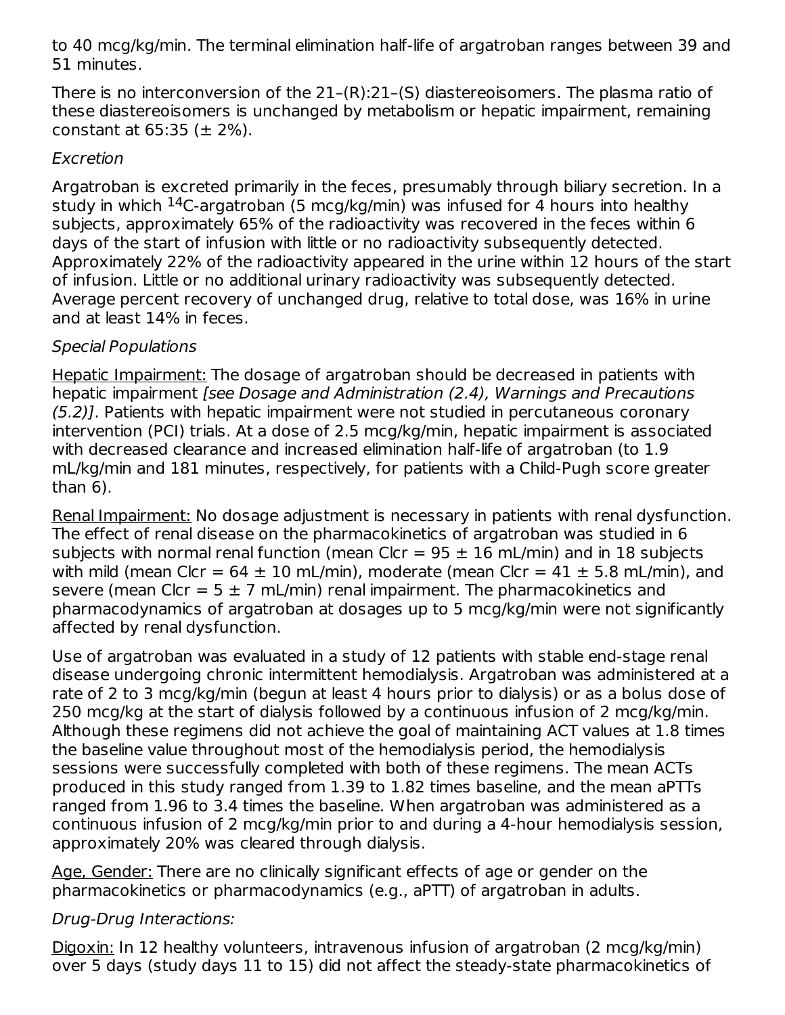to 40 mcg/kg/min. The terminal elimination half-life of argatroban ranges between 39 and 51 minutes.

There is no interconversion of the 21–(R):21–(S) diastereoisomers. The plasma ratio of these diastereoisomers is unchanged by metabolism or hepatic impairment, remaining constant at  $65:35$  ( $\pm$  2%).

#### Excretion

Argatroban is excreted primarily in the feces, presumably through biliary secretion. In a study in which <sup>14</sup>C-argatroban (5 mcg/kg/min) was infused for 4 hours into healthy subjects, approximately 65% of the radioactivity was recovered in the feces within 6 days of the start of infusion with little or no radioactivity subsequently detected. Approximately 22% of the radioactivity appeared in the urine within 12 hours of the start of infusion. Little or no additional urinary radioactivity was subsequently detected. Average percent recovery of unchanged drug, relative to total dose, was 16% in urine and at least 14% in feces.

## Special Populations

Hepatic Impairment: The dosage of argatroban should be decreased in patients with hepatic impairment [see Dosage and Administration (2.4), Warnings and Precautions (5.2)]. Patients with hepatic impairment were not studied in percutaneous coronary intervention (PCI) trials. At a dose of 2.5 mcg/kg/min, hepatic impairment is associated with decreased clearance and increased elimination half-life of argatroban (to 1.9 mL/kg/min and 181 minutes, respectively, for patients with a Child-Pugh score greater than 6).

Renal Impairment: No dosage adjustment is necessary in patients with renal dysfunction. The effect of renal disease on the pharmacokinetics of argatroban was studied in 6 subjects with normal renal function (mean Clcr =  $95 \pm 16$  mL/min) and in 18 subjects with mild (mean Clcr =  $64 \pm 10$  mL/min), moderate (mean Clcr =  $41 \pm 5.8$  mL/min), and severe (mean Clcr =  $5 \pm 7$  mL/min) renal impairment. The pharmacokinetics and pharmacodynamics of argatroban at dosages up to 5 mcg/kg/min were not significantly affected by renal dysfunction.

Use of argatroban was evaluated in a study of 12 patients with stable end-stage renal disease undergoing chronic intermittent hemodialysis. Argatroban was administered at a rate of 2 to 3 mcg/kg/min (begun at least 4 hours prior to dialysis) or as a bolus dose of 250 mcg/kg at the start of dialysis followed by a continuous infusion of 2 mcg/kg/min. Although these regimens did not achieve the goal of maintaining ACT values at 1.8 times the baseline value throughout most of the hemodialysis period, the hemodialysis sessions were successfully completed with both of these regimens. The mean ACTs produced in this study ranged from 1.39 to 1.82 times baseline, and the mean aPTTs ranged from 1.96 to 3.4 times the baseline. When argatroban was administered as a continuous infusion of 2 mcg/kg/min prior to and during a 4-hour hemodialysis session, approximately 20% was cleared through dialysis.

Age, Gender: There are no clinically significant effects of age or gender on the pharmacokinetics or pharmacodynamics (e.g., aPTT) of argatroban in adults.

## Drug-Drug Interactions:

Digoxin: In 12 healthy volunteers, intravenous infusion of argatroban (2 mcg/kg/min) over 5 days (study days 11 to 15) did not affect the steady-state pharmacokinetics of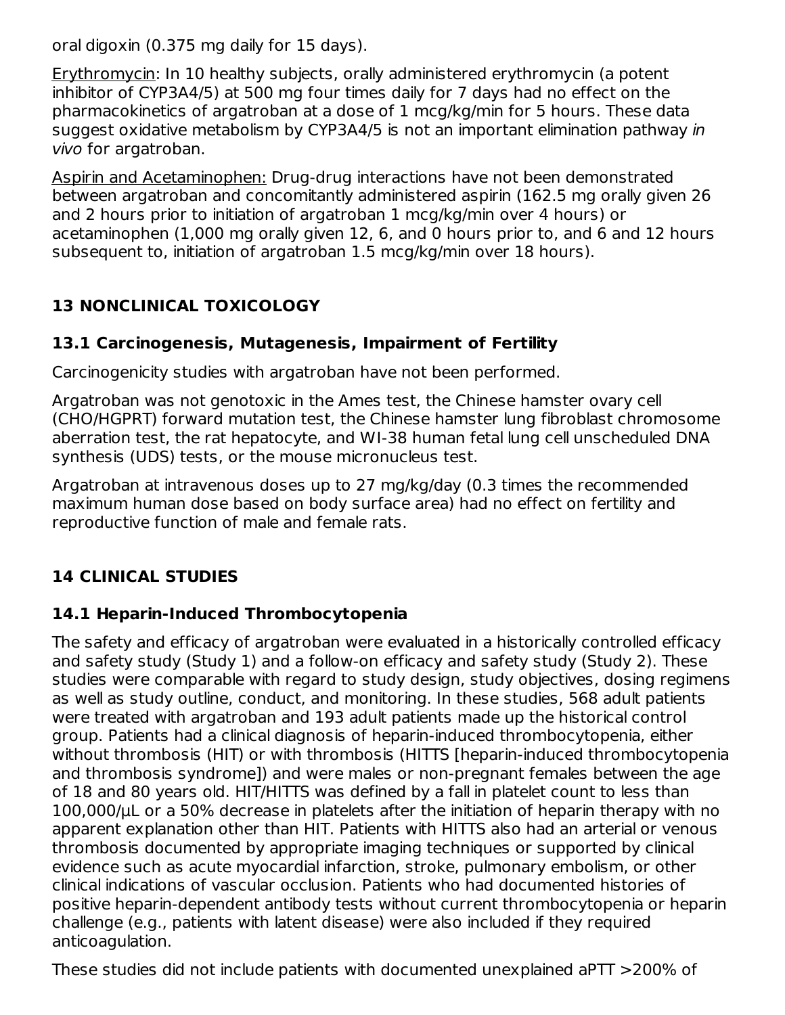oral digoxin (0.375 mg daily for 15 days).

Erythromycin: In 10 healthy subjects, orally administered erythromycin (a potent inhibitor of CYP3A4/5) at 500 mg four times daily for 7 days had no effect on the pharmacokinetics of argatroban at a dose of 1 mcg/kg/min for 5 hours. These data suggest oxidative metabolism by CYP3A4/5 is not an important elimination pathway in vivo for argatroban.

Aspirin and Acetaminophen: Drug-drug interactions have not been demonstrated between argatroban and concomitantly administered aspirin (162.5 mg orally given 26 and 2 hours prior to initiation of argatroban 1 mcg/kg/min over 4 hours) or acetaminophen (1,000 mg orally given 12, 6, and 0 hours prior to, and 6 and 12 hours subsequent to, initiation of argatroban 1.5 mcg/kg/min over 18 hours).

# **13 NONCLINICAL TOXICOLOGY**

# **13.1 Carcinogenesis, Mutagenesis, Impairment of Fertility**

Carcinogenicity studies with argatroban have not been performed.

Argatroban was not genotoxic in the Ames test, the Chinese hamster ovary cell (CHO/HGPRT) forward mutation test, the Chinese hamster lung fibroblast chromosome aberration test, the rat hepatocyte, and WI-38 human fetal lung cell unscheduled DNA synthesis (UDS) tests, or the mouse micronucleus test.

Argatroban at intravenous doses up to 27 mg/kg/day (0.3 times the recommended maximum human dose based on body surface area) had no effect on fertility and reproductive function of male and female rats.

# **14 CLINICAL STUDIES**

## **14.1 Heparin-Induced Thrombocytopenia**

The safety and efficacy of argatroban were evaluated in a historically controlled efficacy and safety study (Study 1) and a follow-on efficacy and safety study (Study 2). These studies were comparable with regard to study design, study objectives, dosing regimens as well as study outline, conduct, and monitoring. In these studies, 568 adult patients were treated with argatroban and 193 adult patients made up the historical control group. Patients had a clinical diagnosis of heparin-induced thrombocytopenia, either without thrombosis (HIT) or with thrombosis (HITTS [heparin-induced thrombocytopenia and thrombosis syndrome]) and were males or non-pregnant females between the age of 18 and 80 years old. HIT/HITTS was defined by a fall in platelet count to less than 100,000/μL or a 50% decrease in platelets after the initiation of heparin therapy with no apparent explanation other than HIT. Patients with HITTS also had an arterial or venous thrombosis documented by appropriate imaging techniques or supported by clinical evidence such as acute myocardial infarction, stroke, pulmonary embolism, or other clinical indications of vascular occlusion. Patients who had documented histories of positive heparin-dependent antibody tests without current thrombocytopenia or heparin challenge (e.g., patients with latent disease) were also included if they required anticoagulation.

These studies did not include patients with documented unexplained aPTT >200% of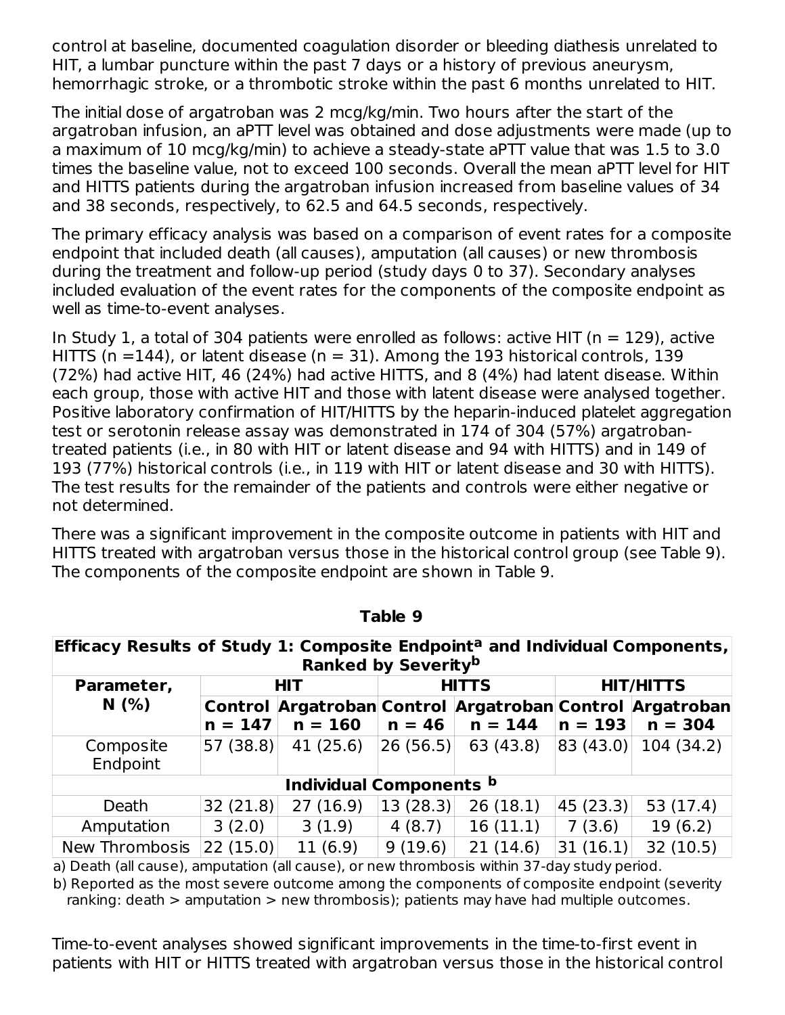control at baseline, documented coagulation disorder or bleeding diathesis unrelated to HIT, a lumbar puncture within the past 7 days or a history of previous aneurysm, hemorrhagic stroke, or a thrombotic stroke within the past 6 months unrelated to HIT.

The initial dose of argatroban was 2 mcg/kg/min. Two hours after the start of the argatroban infusion, an aPTT level was obtained and dose adjustments were made (up to a maximum of 10 mcg/kg/min) to achieve a steady-state aPTT value that was 1.5 to 3.0 times the baseline value, not to exceed 100 seconds. Overall the mean aPTT level for HIT and HITTS patients during the argatroban infusion increased from baseline values of 34 and 38 seconds, respectively, to 62.5 and 64.5 seconds, respectively.

The primary efficacy analysis was based on a comparison of event rates for a composite endpoint that included death (all causes), amputation (all causes) or new thrombosis during the treatment and follow-up period (study days 0 to 37). Secondary analyses included evaluation of the event rates for the components of the composite endpoint as well as time-to-event analyses.

In Study 1, a total of 304 patients were enrolled as follows: active HIT ( $n = 129$ ), active HITTS (n = 144), or latent disease (n = 31). Among the 193 historical controls, 139 (72%) had active HIT, 46 (24%) had active HITTS, and 8 (4%) had latent disease. Within each group, those with active HIT and those with latent disease were analysed together. Positive laboratory confirmation of HIT/HITTS by the heparin-induced platelet aggregation test or serotonin release assay was demonstrated in 174 of 304 (57%) argatrobantreated patients (i.e., in 80 with HIT or latent disease and 94 with HITTS) and in 149 of 193 (77%) historical controls (i.e., in 119 with HIT or latent disease and 30 with HITTS). The test results for the remainder of the patients and controls were either negative or not determined.

There was a significant improvement in the composite outcome in patients with HIT and HITTS treated with argatroban versus those in the historical control group (see Table 9). The components of the composite endpoint are shown in Table 9.

| Efficacy Results of Study 1: Composite Endpoint <sup>a</sup> and Individual Components,<br><b>Ranked by Severityb</b> |                         |           |              |           |                  |                                                                       |
|-----------------------------------------------------------------------------------------------------------------------|-------------------------|-----------|--------------|-----------|------------------|-----------------------------------------------------------------------|
| Parameter,                                                                                                            | <b>HIT</b>              |           | <b>HITTS</b> |           | <b>HIT/HITTS</b> |                                                                       |
| N(% )                                                                                                                 | $n = 147$               | $n = 160$ | $n = 46$     | $n = 144$ | $n = 193$        | Control Argatroban Control Argatroban Control Argatroban<br>$n = 304$ |
| Composite<br>Endpoint                                                                                                 | 57 (38.8)               | 41(25.6)  | 26(56.5)     | 63 (43.8) | 83(43.0)         | 104 (34.2)                                                            |
|                                                                                                                       | Individual Components b |           |              |           |                  |                                                                       |
| Death                                                                                                                 | 32(21.8)                | 27(16.9)  | 13(28.3)     | 26(18.1)  | 45(23.3)         | 53(17.4)                                                              |
| Amputation                                                                                                            | 3(2.0)                  | 3(1.9)    | 4(8.7)       | 16(11.1)  | 7(3.6)           | 19(6.2)                                                               |
| New Thrombosis                                                                                                        | 22(15.0)                | 11(6.9)   | 9(19.6)      | 21(14.6)  | 31(16.1)         | 32(10.5)                                                              |

**Table 9**

a) Death (all cause), amputation (all cause), or new thrombosis within 37-day study period.

b) Reported as the most severe outcome among the components of composite endpoint (severity ranking: death > amputation > new thrombosis); patients may have had multiple outcomes.

Time-to-event analyses showed significant improvements in the time-to-first event in patients with HIT or HITTS treated with argatroban versus those in the historical control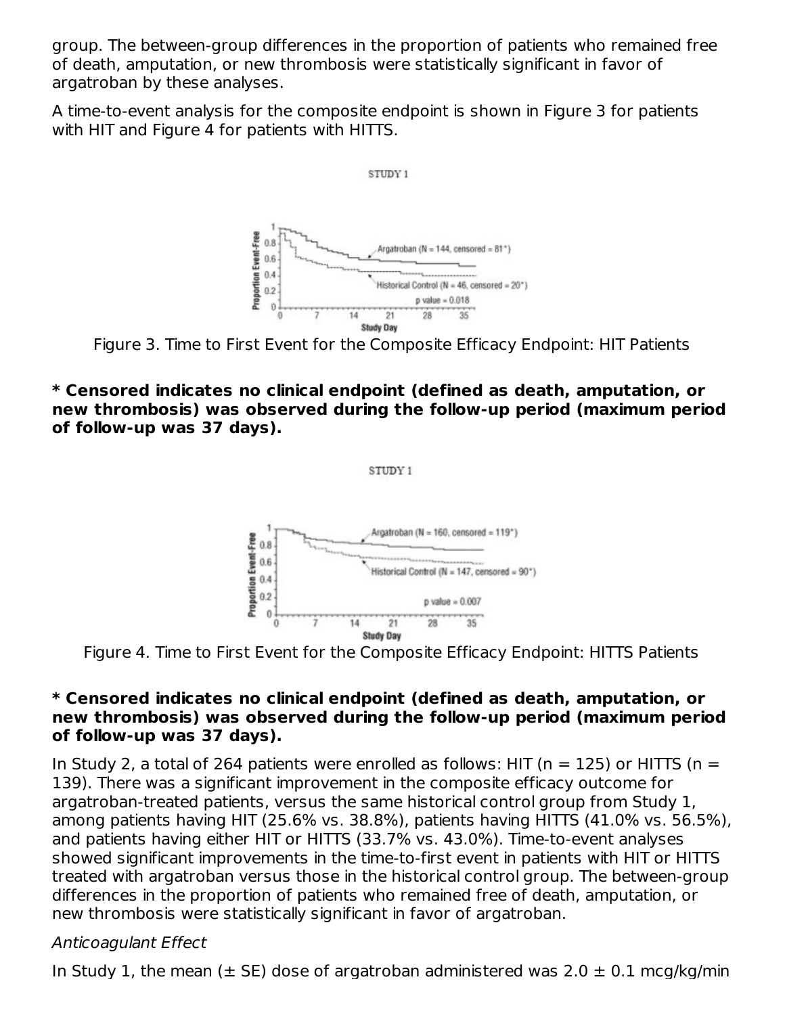group. The between-group differences in the proportion of patients who remained free of death, amputation, or new thrombosis were statistically significant in favor of argatroban by these analyses.

A time-to-event analysis for the composite endpoint is shown in Figure 3 for patients with HIT and Figure 4 for patients with HITTS.



Figure 3. Time to First Event for the Composite Efficacy Endpoint: HIT Patients

**\* Censored indicates no clinical endpoint (defined as death, amputation, or new thrombosis) was observed during the follow-up period (maximum period of follow-up was 37 days).**

STUDY 1

Argatroban (N = 160, censored = 119\*) Proportion Event-Free  $0.8$  $0.6$ Historical Control (N = 147, censored = 90")  $0.4$  $0.2$  $p$  value =  $0.007$  $\theta$  $35$ 14 21 28 **Study Day** 

Figure 4. Time to First Event for the Composite Efficacy Endpoint: HITTS Patients

#### **\* Censored indicates no clinical endpoint (defined as death, amputation, or new thrombosis) was observed during the follow-up period (maximum period of follow-up was 37 days).**

In Study 2, a total of 264 patients were enrolled as follows: HIT ( $n = 125$ ) or HITTS ( $n =$ 139). There was a significant improvement in the composite efficacy outcome for argatroban-treated patients, versus the same historical control group from Study 1, among patients having HIT (25.6% vs. 38.8%), patients having HITTS (41.0% vs. 56.5%), and patients having either HIT or HITTS (33.7% vs. 43.0%). Time-to-event analyses showed significant improvements in the time-to-first event in patients with HIT or HITTS treated with argatroban versus those in the historical control group. The between-group differences in the proportion of patients who remained free of death, amputation, or new thrombosis were statistically significant in favor of argatroban.

## Anticoagulant Effect

In Study 1, the mean ( $\pm$  SE) dose of argatroban administered was 2.0  $\pm$  0.1 mcg/kg/min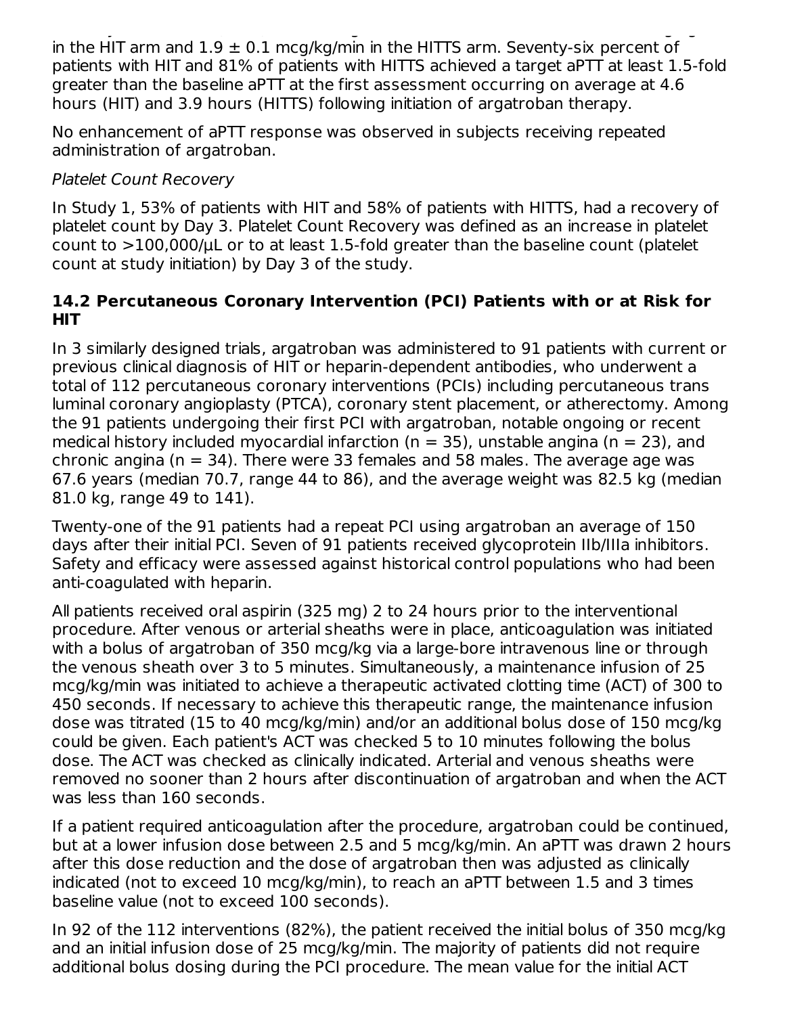In Study 1, the mean (± SE) dose of argatroban administered was 2.0 ± 0.1 mcg/kg/min in the HIT arm and  $1.9 \pm 0.1$  mcg/kg/min in the HITTS arm. Seventy-six percent of patients with HIT and 81% of patients with HITTS achieved a target aPTT at least 1.5-fold greater than the baseline aPTT at the first assessment occurring on average at 4.6 hours (HIT) and 3.9 hours (HITTS) following initiation of argatroban therapy.

No enhancement of aPTT response was observed in subjects receiving repeated administration of argatroban.

## Platelet Count Recovery

In Study 1, 53% of patients with HIT and 58% of patients with HITTS, had a recovery of platelet count by Day 3. Platelet Count Recovery was defined as an increase in platelet count to >100,000/μL or to at least 1.5-fold greater than the baseline count (platelet count at study initiation) by Day 3 of the study.

#### **14.2 Percutaneous Coronary Intervention (PCI) Patients with or at Risk for HIT**

In 3 similarly designed trials, argatroban was administered to 91 patients with current or previous clinical diagnosis of HIT or heparin-dependent antibodies, who underwent a total of 112 percutaneous coronary interventions (PCIs) including percutaneous trans luminal coronary angioplasty (PTCA), coronary stent placement, or atherectomy. Among the 91 patients undergoing their first PCI with argatroban, notable ongoing or recent medical history included myocardial infarction ( $n = 35$ ), unstable angina ( $n = 23$ ), and chronic angina ( $n = 34$ ). There were 33 females and 58 males. The average age was 67.6 years (median 70.7, range 44 to 86), and the average weight was 82.5 kg (median 81.0 kg, range 49 to 141).

Twenty-one of the 91 patients had a repeat PCI using argatroban an average of 150 days after their initial PCI. Seven of 91 patients received glycoprotein IIb/IIIa inhibitors. Safety and efficacy were assessed against historical control populations who had been anti-coagulated with heparin.

All patients received oral aspirin (325 mg) 2 to 24 hours prior to the interventional procedure. After venous or arterial sheaths were in place, anticoagulation was initiated with a bolus of argatroban of 350 mcg/kg via a large-bore intravenous line or through the venous sheath over 3 to 5 minutes. Simultaneously, a maintenance infusion of 25 mcg/kg/min was initiated to achieve a therapeutic activated clotting time (ACT) of 300 to 450 seconds. If necessary to achieve this therapeutic range, the maintenance infusion dose was titrated (15 to 40 mcg/kg/min) and/or an additional bolus dose of 150 mcg/kg could be given. Each patient's ACT was checked 5 to 10 minutes following the bolus dose. The ACT was checked as clinically indicated. Arterial and venous sheaths were removed no sooner than 2 hours after discontinuation of argatroban and when the ACT was less than 160 seconds.

If a patient required anticoagulation after the procedure, argatroban could be continued, but at a lower infusion dose between 2.5 and 5 mcg/kg/min. An aPTT was drawn 2 hours after this dose reduction and the dose of argatroban then was adjusted as clinically indicated (not to exceed 10 mcg/kg/min), to reach an aPTT between 1.5 and 3 times baseline value (not to exceed 100 seconds).

In 92 of the 112 interventions (82%), the patient received the initial bolus of 350 mcg/kg and an initial infusion dose of 25 mcg/kg/min. The majority of patients did not require additional bolus dosing during the PCI procedure. The mean value for the initial ACT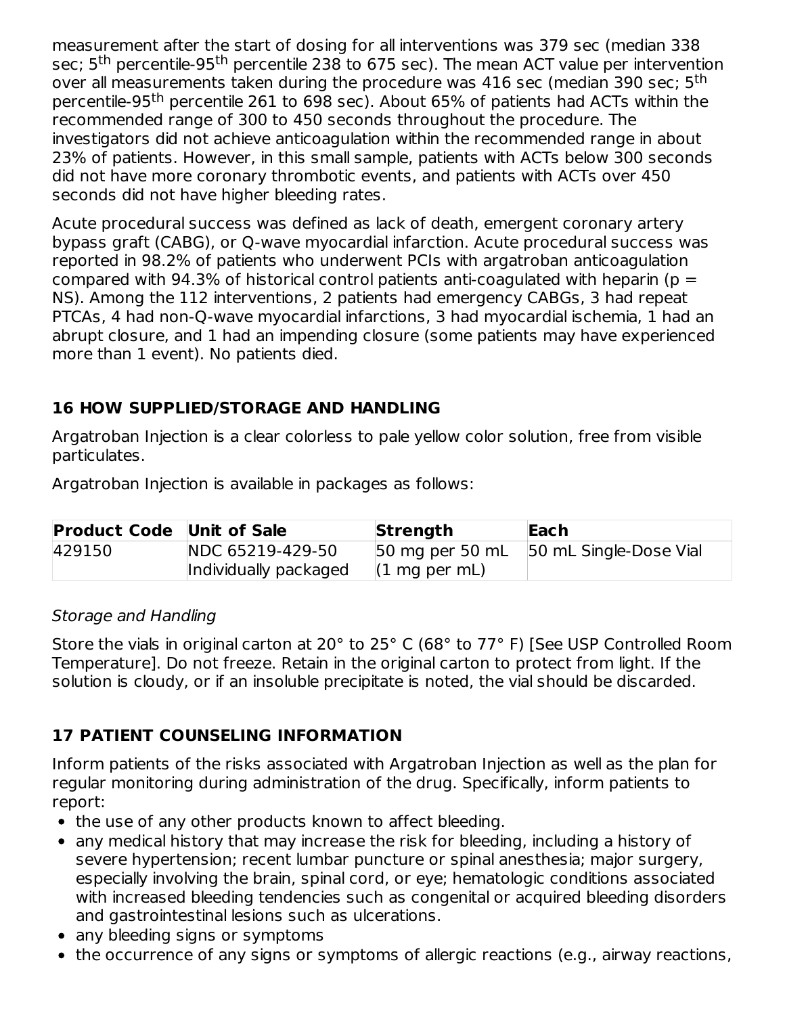measurement after the start of dosing for all interventions was 379 sec (median 338 sec; 5<sup>th</sup> percentile-95<sup>th</sup> percentile 238 to 675 sec). The mean ACT value per intervention over all measurements taken during the procedure was 416 sec (median 390 sec; 5<sup>th</sup> percentile-95<sup>th</sup> percentile 261 to 698 sec). About 65% of patients had ACTs within the recommended range of 300 to 450 seconds throughout the procedure. The investigators did not achieve anticoagulation within the recommended range in about 23% of patients. However, in this small sample, patients with ACTs below 300 seconds did not have more coronary thrombotic events, and patients with ACTs over 450 seconds did not have higher bleeding rates.

Acute procedural success was defined as lack of death, emergent coronary artery bypass graft (CABG), or Q-wave myocardial infarction. Acute procedural success was reported in 98.2% of patients who underwent PCIs with argatroban anticoagulation compared with 94.3% of historical control patients anti-coagulated with heparin ( $p =$ NS). Among the 112 interventions, 2 patients had emergency CABGs, 3 had repeat PTCAs, 4 had non-Q-wave myocardial infarctions, 3 had myocardial ischemia, 1 had an abrupt closure, and 1 had an impending closure (some patients may have experienced more than 1 event). No patients died.

## **16 HOW SUPPLIED/STORAGE AND HANDLING**

Argatroban Injection is a clear colorless to pale yellow color solution, free from visible particulates.

Argatroban Injection is available in packages as follows:

| <b>Product Code Unit of Sale</b> |                       | Strength                | Each                                   |
|----------------------------------|-----------------------|-------------------------|----------------------------------------|
| 429150                           | NDC 65219-429-50      |                         | 50 mg per 50 mL 50 mL Single-Dose Vial |
|                                  | Individually packaged | $(1 \text{ mg per mL})$ |                                        |

#### Storage and Handling

Store the vials in original carton at 20° to 25° C (68° to 77° F) [See USP Controlled Room Temperature]. Do not freeze. Retain in the original carton to protect from light. If the solution is cloudy, or if an insoluble precipitate is noted, the vial should be discarded.

# **17 PATIENT COUNSELING INFORMATION**

Inform patients of the risks associated with Argatroban Injection as well as the plan for regular monitoring during administration of the drug. Specifically, inform patients to report:

- the use of any other products known to affect bleeding.
- any medical history that may increase the risk for bleeding, including a history of severe hypertension; recent lumbar puncture or spinal anesthesia; major surgery, especially involving the brain, spinal cord, or eye; hematologic conditions associated with increased bleeding tendencies such as congenital or acquired bleeding disorders and gastrointestinal lesions such as ulcerations.
- any bleeding signs or symptoms
- the occurrence of any signs or symptoms of allergic reactions (e.g., airway reactions,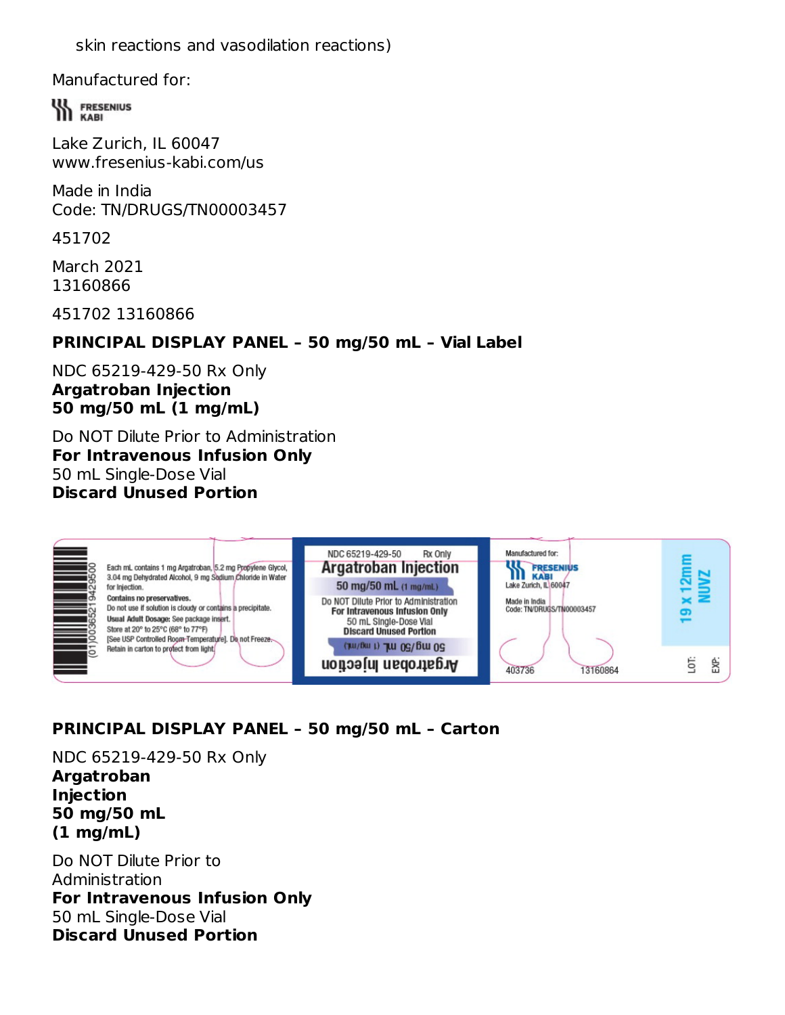skin reactions and vasodilation reactions)

Manufactured for:

**WA FRESENIUS** 

Lake Zurich, IL 60047 www.fresenius-kabi.com/us

Made in India Code: TN/DRUGS/TN00003457

451702

March 2021 13160866

451702 13160866

## **PRINCIPAL DISPLAY PANEL – 50 mg/50 mL – Vial Label**

#### NDC 65219-429-50 Rx Only **Argatroban Injection 50 mg/50 mL (1 mg/mL)**

Do NOT Dilute Prior to Administration **For Intravenous Infusion Only** 50 mL Single-Dose Vial **Discard Unused Portion**

| for Injection. | Each mL contains 1 mg Argatroban, 5.2 mg Propylene Glycol,<br>3.04 mg Dehydrated Alcohol, 9 mg Sodium Chloride in Water<br>Contains no preservatives.<br>Do not use if solution is cloudy or contains a precipitate.<br>Usual Adult Dosage: See package insert.<br>Store at 20° to 25°C (68° to 77°F)<br>[See USP Controlled Room-Temperature]. Do not Freeze | NDC 65219-429-50<br><b>Rx Only</b><br><b>Argatroban Injection</b><br>50 mg/50 mL (1 mg/mL)<br>Do NOT Dilute Prior to Administration<br>For Intravenous Infusion Only<br>50 mL Single-Dose Vial<br><b>Discard Unused Portion</b> | Manufactured for:<br><b>FRESENIUS</b><br><b>KABI</b><br>Lake Zurich, IL 60047<br>Made in India<br>Code: TN/DRUGS/TN00003457 |   |
|----------------|---------------------------------------------------------------------------------------------------------------------------------------------------------------------------------------------------------------------------------------------------------------------------------------------------------------------------------------------------------------|---------------------------------------------------------------------------------------------------------------------------------------------------------------------------------------------------------------------------------|-----------------------------------------------------------------------------------------------------------------------------|---|
|                | Retain in carton to protect from light.                                                                                                                                                                                                                                                                                                                       | (THI/BULL) THE OG/BULOG<br>Argatroban Injection                                                                                                                                                                                 | 403736<br>13160864                                                                                                          | 5 |

## **PRINCIPAL DISPLAY PANEL – 50 mg/50 mL – Carton**

NDC 65219-429-50 Rx Only **Argatroban Injection 50 mg/50 mL (1 mg/mL)**

Do NOT Dilute Prior to Administration **For Intravenous Infusion Only** 50 mL Single-Dose Vial **Discard Unused Portion**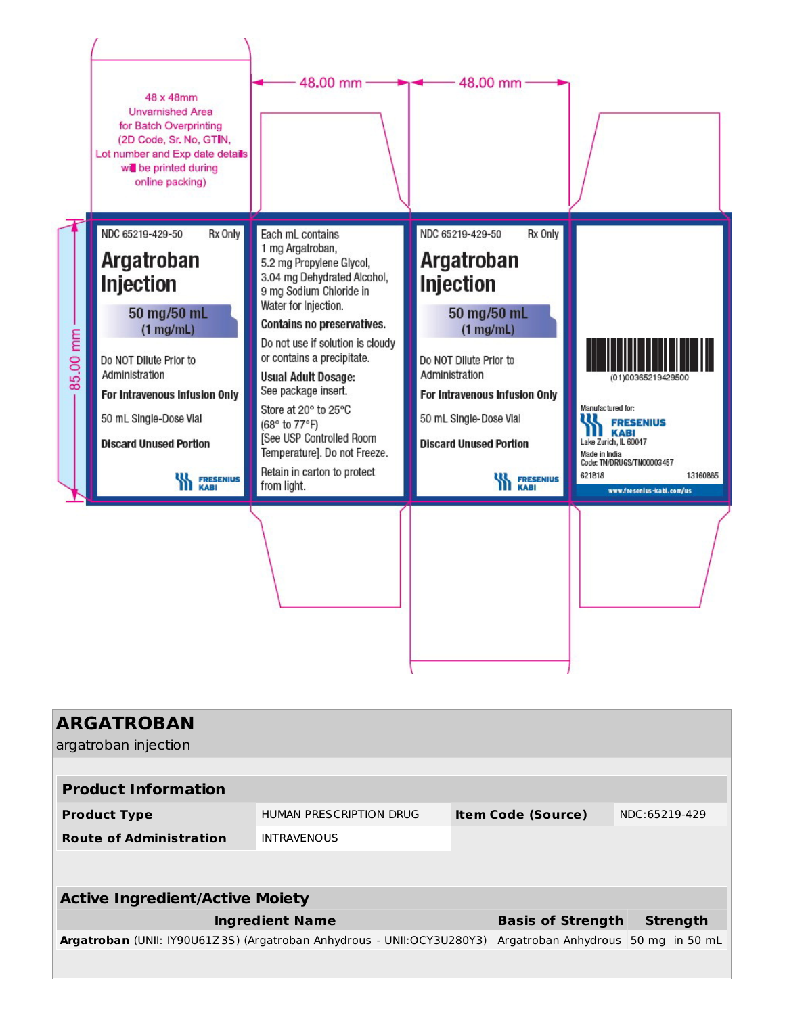|          | 48 x 48mm<br><b>Unvarnished Area</b><br>for Batch Overprinting<br>(2D Code, Sr. No, GTIN,<br>Lot number and Exp date details<br>will be printed during<br>online packing)                                                                                 | $48.00$ mm $-$                                                                                                                                                                                                                                                                                                                                                                                                                                             | 48.00 mm                                                                                                                                                                                                                                                   |                                                                                                                                                                 |
|----------|-----------------------------------------------------------------------------------------------------------------------------------------------------------------------------------------------------------------------------------------------------------|------------------------------------------------------------------------------------------------------------------------------------------------------------------------------------------------------------------------------------------------------------------------------------------------------------------------------------------------------------------------------------------------------------------------------------------------------------|------------------------------------------------------------------------------------------------------------------------------------------------------------------------------------------------------------------------------------------------------------|-----------------------------------------------------------------------------------------------------------------------------------------------------------------|
| 85.00 mm | NDC 65219-429-50<br>Rx Only<br><b>Argatroban</b><br><b>Injection</b><br>50 mg/50 mL<br>$(1$ mg/mL)<br>Do NOT Dilute Prior to<br>Administration<br>For Intravenous Infusion Only<br>50 mL Single-Dose Vial<br><b>Discard Unused Portion</b><br><b>KABI</b> | Each mL contains<br>1 mg Argatroban,<br>5.2 mg Propylene Glycol,<br>3.04 mg Dehydrated Alcohol,<br>9 mg Sodium Chloride in<br>Water for Injection.<br>Contains no preservatives.<br>Do not use if solution is cloudy<br>or contains a precipitate.<br><b>Usual Adult Dosage:</b><br>See package insert.<br>Store at 20° to 25°C<br>(68° to 77°F)<br>[See USP Controlled Room<br>Temperature]. Do not Freeze.<br>Retain in carton to protect<br>from light. | NDC 65219-429-50<br>Rx Only<br>Argatroban<br><b>Injection</b><br>50 mg/50 mL<br>$(1$ mg/mL)<br>Do NOT Dilute Prior to<br>Administration<br>For Intravenous Infusion Only<br>50 mL Single-Dose Vial<br><b>Discard Unused Portion</b><br><b>WA FRESENIUS</b> | Manufactured for:<br><b>FRESENIUS</b><br>Lake Zurich, IL 60047<br>Made in India<br>Code: TN/DRUGS/TN00003457<br>621818<br>13160865<br>www.fresenius-kabi.com/us |
|          |                                                                                                                                                                                                                                                           |                                                                                                                                                                                                                                                                                                                                                                                                                                                            |                                                                                                                                                                                                                                                            |                                                                                                                                                                 |

| <b>ARGATROBAN</b><br>argatroban injection                              |                         |                                     |                 |  |
|------------------------------------------------------------------------|-------------------------|-------------------------------------|-----------------|--|
|                                                                        |                         |                                     |                 |  |
| <b>Product Information</b>                                             |                         |                                     |                 |  |
| <b>Product Type</b>                                                    | HUMAN PRESCRIPTION DRUG | <b>Item Code (Source)</b>           | NDC:65219-429   |  |
| <b>Route of Administration</b>                                         | <b>INTRAVENOUS</b>      |                                     |                 |  |
|                                                                        |                         |                                     |                 |  |
| <b>Active Ingredient/Active Moiety</b>                                 |                         |                                     |                 |  |
|                                                                        | <b>Ingredient Name</b>  | <b>Basis of Strength</b>            | <b>Strength</b> |  |
| Argatroban (UNII: IY90U61Z3S) (Argatroban Anhydrous - UNII:OCY3U280Y3) |                         | Argatroban Anhydrous 50 mg in 50 mL |                 |  |
|                                                                        |                         |                                     |                 |  |